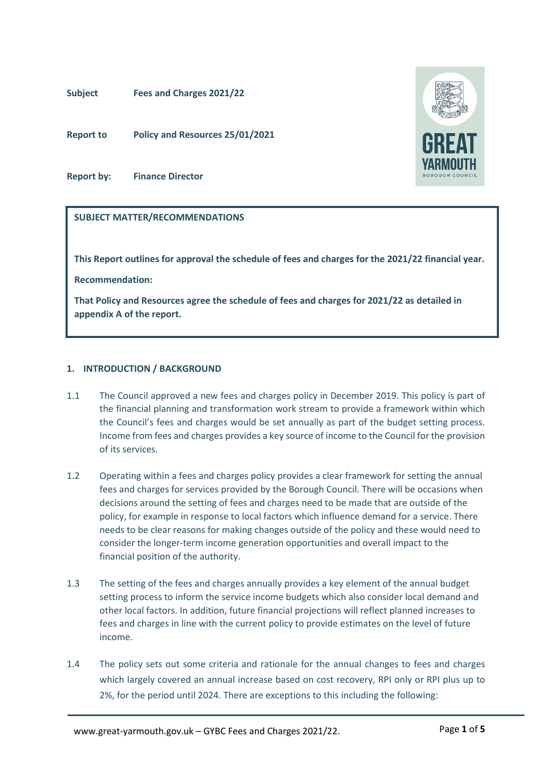### **Subject Fees and Charges 2021/22**

**Report to Policy and Resources 25/01/2021**

**Report by: Finance Director**

### **SUBJECT MATTER/RECOMMENDATIONS**

**This Report outlines for approval the schedule of fees and charges for the 2021/22 financial year.**

**Recommendation:**

**That Policy and Resources agree the schedule of fees and charges for 2021/22 as detailed in appendix A of the report.** 

### **1. INTRODUCTION / BACKGROUND**

- 1.1 The Council approved a new fees and charges policy in December 2019. This policy is part of the financial planning and transformation work stream to provide a framework within which the Council's fees and charges would be set annually as part of the budget setting process. Income from fees and charges provides a key source of income to the Council for the provision of its services.
- 1.2 Operating within a fees and charges policy provides a clear framework for setting the annual fees and charges for services provided by the Borough Council. There will be occasions when decisions around the setting of fees and charges need to be made that are outside of the policy, for example in response to local factors which influence demand for a service. There needs to be clear reasons for making changes outside of the policy and these would need to consider the longer-term income generation opportunities and overall impact to the financial position of the authority.
- 1.3 The setting of the fees and charges annually provides a key element of the annual budget setting process to inform the service income budgets which also consider local demand and other local factors. In addition, future financial projections will reflect planned increases to fees and charges in line with the current policy to provide estimates on the level of future income.
- 1.4 The policy sets out some criteria and rationale for the annual changes to fees and charges which largely covered an annual increase based on cost recovery, RPI only or RPI plus up to 2%, for the period until 2024. There are exceptions to this including the following:

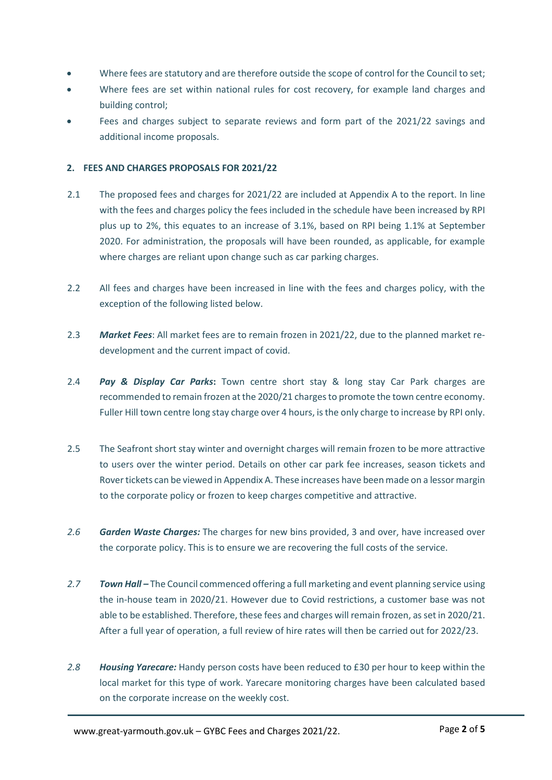- Where fees are statutory and are therefore outside the scope of control for the Council to set;
- Where fees are set within national rules for cost recovery, for example land charges and building control;
- Fees and charges subject to separate reviews and form part of the 2021/22 savings and additional income proposals.

### **2. FEES AND CHARGES PROPOSALS FOR 2021/22**

- 2.1 The proposed fees and charges for 2021/22 are included at Appendix A to the report. In line with the fees and charges policy the fees included in the schedule have been increased by RPI plus up to 2%, this equates to an increase of 3.1%, based on RPI being 1.1% at September 2020. For administration, the proposals will have been rounded, as applicable, for example where charges are reliant upon change such as car parking charges.
- 2.2 All fees and charges have been increased in line with the fees and charges policy, with the exception of the following listed below.
- 2.3 *Market Fees*: All market fees are to remain frozen in 2021/22, due to the planned market redevelopment and the current impact of covid.
- 2.4 *Pay & Display Car Parks***:** Town centre short stay & long stay Car Park charges are recommended to remain frozen at the 2020/21 chargesto promote the town centre economy. Fuller Hill town centre long stay charge over 4 hours, is the only charge to increase by RPI only.
- 2.5 The Seafront short stay winter and overnight charges will remain frozen to be more attractive to users over the winter period. Details on other car park fee increases, season tickets and Rover tickets can be viewed in Appendix A. These increases have been made on a lessor margin to the corporate policy or frozen to keep charges competitive and attractive.
- *2.6 Garden Waste Charges:* The charges for new bins provided, 3 and over, have increased over the corporate policy. This is to ensure we are recovering the full costs of the service.
- *2.7 Town Hall* The Council commenced offering a full marketing and event planning service using the in-house team in 2020/21. However due to Covid restrictions, a customer base was not able to be established. Therefore, these fees and charges will remain frozen, as set in 2020/21. After a full year of operation, a full review of hire rates will then be carried out for 2022/23.
- *2.8 Housing Yarecare:* Handy person costs have been reduced to £30 per hour to keep within the local market for this type of work. Yarecare monitoring charges have been calculated based on the corporate increase on the weekly cost.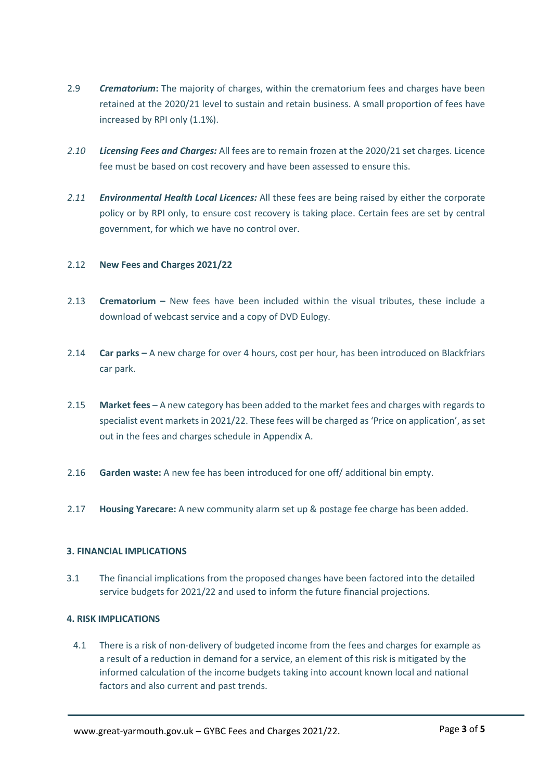- 2.9 *Crematorium***:** The majority of charges, within the crematorium fees and charges have been retained at the 2020/21 level to sustain and retain business. A small proportion of fees have increased by RPI only (1.1%).
- *2.10 Licensing Fees and Charges:* All fees are to remain frozen at the 2020/21 set charges. Licence fee must be based on cost recovery and have been assessed to ensure this.
- *2.11 Environmental Health Local Licences:* All these fees are being raised by either the corporate policy or by RPI only, to ensure cost recovery is taking place. Certain fees are set by central government, for which we have no control over.

### 2.12 **New Fees and Charges 2021/22**

- 2.13 **Crematorium** New fees have been included within the visual tributes, these include a download of webcast service and a copy of DVD Eulogy.
- 2.14 **Car parks** A new charge for over 4 hours, cost per hour, has been introduced on Blackfriars car park.
- 2.15 **Market fees**  A new category has been added to the market fees and charges with regards to specialist event markets in 2021/22. These fees will be charged as 'Price on application', as set out in the fees and charges schedule in Appendix A.
- 2.16 **Garden waste:** A new fee has been introduced for one off/ additional bin empty.
- 2.17 **Housing Yarecare:** A new community alarm set up & postage fee charge has been added.

### **3. FINANCIAL IMPLICATIONS**

3.1 The financial implications from the proposed changes have been factored into the detailed service budgets for 2021/22 and used to inform the future financial projections.

### **4. RISK IMPLICATIONS**

4.1 There is a risk of non-delivery of budgeted income from the fees and charges for example as a result of a reduction in demand for a service, an element of this risk is mitigated by the informed calculation of the income budgets taking into account known local and national factors and also current and past trends.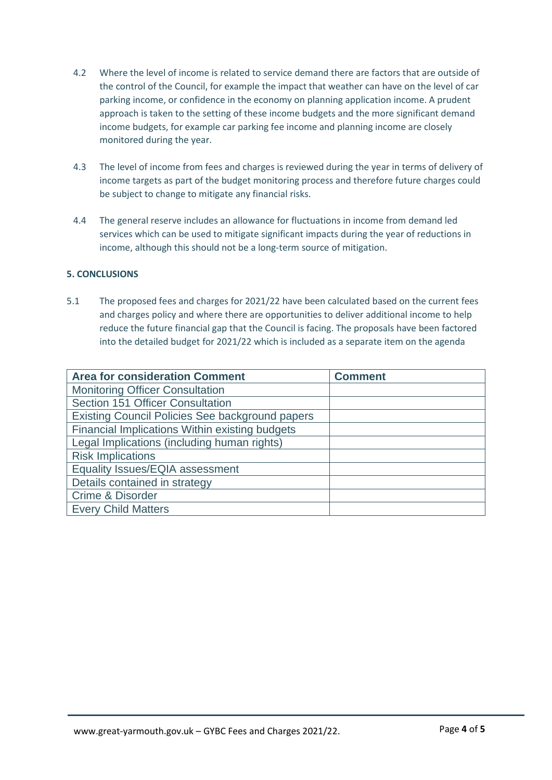- 4.2 Where the level of income is related to service demand there are factors that are outside of the control of the Council, for example the impact that weather can have on the level of car parking income, or confidence in the economy on planning application income. A prudent approach is taken to the setting of these income budgets and the more significant demand income budgets, for example car parking fee income and planning income are closely monitored during the year.
- 4.3 The level of income from fees and charges is reviewed during the year in terms of delivery of income targets as part of the budget monitoring process and therefore future charges could be subject to change to mitigate any financial risks.
- 4.4 The general reserve includes an allowance for fluctuations in income from demand led services which can be used to mitigate significant impacts during the year of reductions in income, although this should not be a long-term source of mitigation.

### **5. CONCLUSIONS**

5.1 The proposed fees and charges for 2021/22 have been calculated based on the current fees and charges policy and where there are opportunities to deliver additional income to help reduce the future financial gap that the Council is facing. The proposals have been factored into the detailed budget for 2021/22 which is included as a separate item on the agenda

| <b>Area for consideration Comment</b>                  | <b>Comment</b> |
|--------------------------------------------------------|----------------|
| <b>Monitoring Officer Consultation</b>                 |                |
| Section 151 Officer Consultation                       |                |
| <b>Existing Council Policies See background papers</b> |                |
| Financial Implications Within existing budgets         |                |
| Legal Implications (including human rights)            |                |
| <b>Risk Implications</b>                               |                |
| Equality Issues/EQIA assessment                        |                |
| Details contained in strategy                          |                |
| Crime & Disorder                                       |                |
| <b>Every Child Matters</b>                             |                |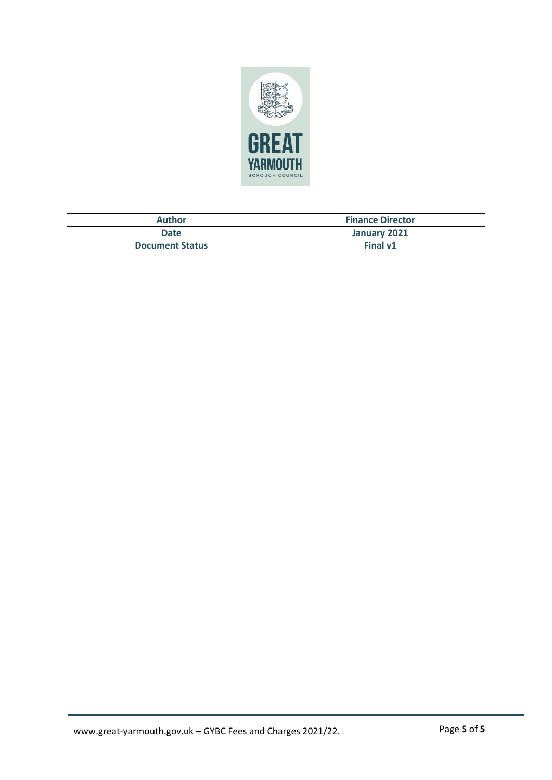

| <b>Author</b>          | <b>Finance Director</b> |
|------------------------|-------------------------|
| Date                   | January 2021            |
| <b>Document Status</b> | Final v1                |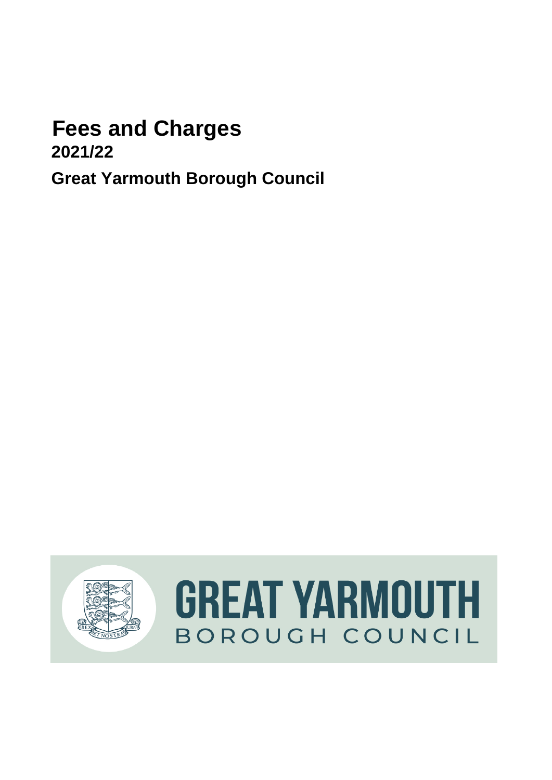# **Fees and Charges**

**2021/22**

**Great Yarmouth Borough Council** 

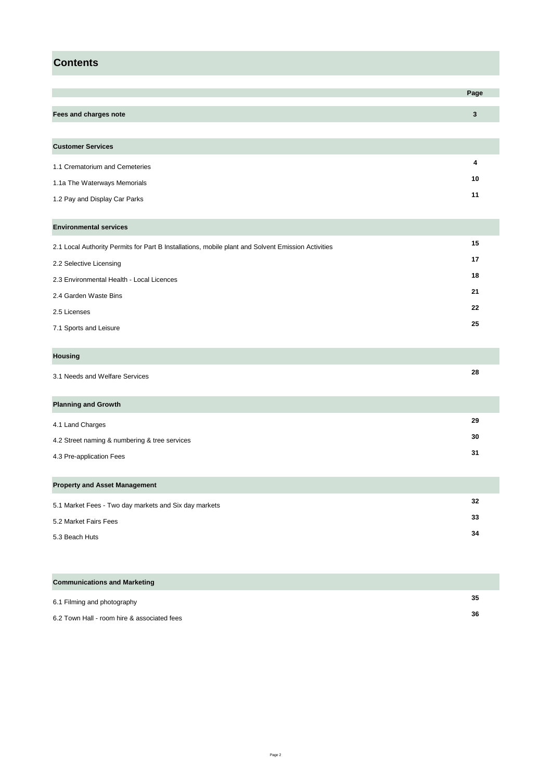### **Contents**

|                                                                                                    | Page             |
|----------------------------------------------------------------------------------------------------|------------------|
| Fees and charges note                                                                              | $\mathbf 3$      |
|                                                                                                    |                  |
| <b>Customer Services</b>                                                                           |                  |
|                                                                                                    |                  |
| 1.1 Crematorium and Cemeteries                                                                     | $\boldsymbol{4}$ |
| 1.1a The Waterways Memorials                                                                       | 10               |
| 1.2 Pay and Display Car Parks                                                                      | 11               |
|                                                                                                    |                  |
| <b>Environmental services</b>                                                                      |                  |
| 2.1 Local Authority Permits for Part B Installations, mobile plant and Solvent Emission Activities | 15               |
| 2.2 Selective Licensing                                                                            | 17               |
| 2.3 Environmental Health - Local Licences                                                          | 18               |
| 2.4 Garden Waste Bins                                                                              | 21               |
| 2.5 Licenses                                                                                       | 22               |
| 7.1 Sports and Leisure                                                                             | 25               |
|                                                                                                    |                  |
| <b>Housing</b>                                                                                     |                  |
| 3.1 Needs and Welfare Services                                                                     | 28               |
|                                                                                                    |                  |
| <b>Planning and Growth</b>                                                                         |                  |
| 4.1 Land Charges                                                                                   | 29               |
| 4.2 Street naming & numbering & tree services                                                      | 30               |
| 4.3 Pre-application Fees                                                                           | 31               |
|                                                                                                    |                  |
| <b>Property and Asset Management</b>                                                               |                  |
| 5.1 Market Fees - Two day markets and Six day markets                                              | 32               |
| 5.2 Market Fairs Fees                                                                              | 33               |
| 5.3 Beach Huts                                                                                     | 34               |

| <b>Communications and Marketing</b>         |    |
|---------------------------------------------|----|
| 6.1 Filming and photography                 | 35 |
| 6.2 Town Hall - room hire & associated fees | 36 |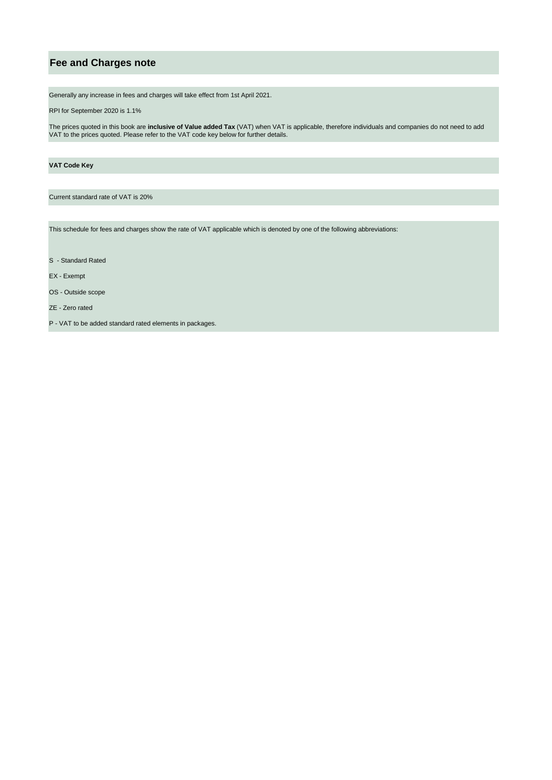### **Fee and Charges note**

Generally any increase in fees and charges will take effect from 1st April 2021.

RPI for September 2020 is 1.1%

The prices quoted in this book are **inclusive of Value added Tax** (VAT) when VAT is applicable, therefore individuals and companies do not need to add VAT to the prices quoted. Please refer to the VAT code key below for further details.

#### **VAT Code Key**

Current standard rate of VAT is 20%

This schedule for fees and charges show the rate of VAT applicable which is denoted by one of the following abbreviations:

S - Standard Rated

EX - Exempt

OS - Outside scope

ZE - Zero rated

P - VAT to be added standard rated elements in packages.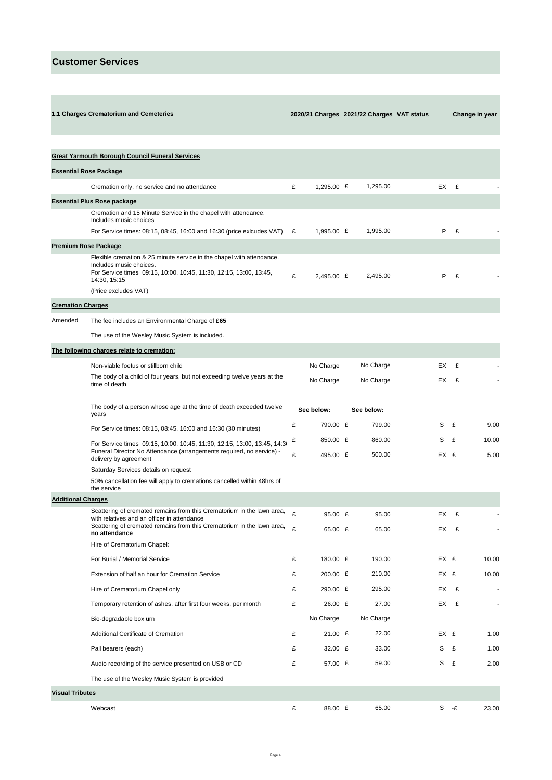**1.1 Charges Crematorium and Cemeteries** 

 **2020/21 Charges 2021/22 Charges VAT status Change in year** 

|                               | <b>Great Yarmouth Borough Council Funeral Services</b>                                                                                                                    |        |                      |                  |    |      |      |                          |
|-------------------------------|---------------------------------------------------------------------------------------------------------------------------------------------------------------------------|--------|----------------------|------------------|----|------|------|--------------------------|
| <b>Essential Rose Package</b> |                                                                                                                                                                           |        |                      |                  |    |      |      |                          |
|                               | Cremation only, no service and no attendance                                                                                                                              | £      | 1,295.00 $E$         | 1,295.00         |    |      | EX £ |                          |
|                               | <b>Essential Plus Rose package</b>                                                                                                                                        |        |                      |                  |    |      |      |                          |
|                               | Cremation and 15 Minute Service in the chapel with attendance.<br>Includes music choices                                                                                  |        |                      |                  |    |      |      |                          |
|                               | For Service times: 08:15, 08:45, 16:00 and 16:30 (price exicudes VAT)                                                                                                     | £      | 1,995.00 £           | 1,995.00         |    | P    | £    |                          |
| <b>Premium Rose Package</b>   |                                                                                                                                                                           |        |                      |                  |    |      |      |                          |
|                               | Flexible cremation & 25 minute service in the chapel with attendance.<br>Includes music choices.                                                                          |        |                      |                  |    |      |      |                          |
|                               | For Service times 09:15, 10:00, 10:45, 11:30, 12:15, 13:00, 13:45,<br>14:30, 15:15                                                                                        | £      | 2,495.00 £           | 2,495.00         |    | P    | £    |                          |
|                               | (Price excludes VAT)                                                                                                                                                      |        |                      |                  |    |      |      |                          |
| <b>Cremation Charges</b>      |                                                                                                                                                                           |        |                      |                  |    |      |      |                          |
| Amended                       | The fee includes an Environmental Charge of £65                                                                                                                           |        |                      |                  |    |      |      |                          |
|                               | The use of the Wesley Music System is included.                                                                                                                           |        |                      |                  |    |      |      |                          |
|                               | The following charges relate to cremation:                                                                                                                                |        |                      |                  |    |      |      |                          |
|                               | Non-viable foetus or stillborn child                                                                                                                                      |        | No Charge            | No Charge        | EX |      | £    |                          |
|                               | The body of a child of four years, but not exceeding twelve years at the<br>time of death                                                                                 |        | No Charge            | No Charge        | EX |      | £    |                          |
|                               | The body of a person whose age at the time of death exceeded twelve<br>years                                                                                              |        | See below:           | See below:       |    |      |      |                          |
|                               | For Service times: 08:15, 08:45, 16:00 and 16:30 (30 minutes)                                                                                                             | £      | 790.00 £             | 799.00           | S  |      | £    | 9.00                     |
|                               | For Service times 09:15, 10:00, 10:45, 11:30, 12:15, 13:00, 13:45, 14:30<br>Funeral Director No Attendance (arrangements required, no service) -<br>delivery by agreement | £<br>£ | 850.00 £<br>495.00 £ | 860.00<br>500.00 | s  | EX £ | £    | 10.00<br>5.00            |
|                               | Saturday Services details on request                                                                                                                                      |        |                      |                  |    |      |      |                          |
|                               | 50% cancellation fee will apply to cremations cancelled within 48hrs of<br>the service                                                                                    |        |                      |                  |    |      |      |                          |
| <b>Additional Charges</b>     |                                                                                                                                                                           |        |                      |                  |    |      |      |                          |
|                               | Scattering of cremated remains from this Crematorium in the lawn area,<br>with relatives and an officer in attendance                                                     | £      | 95.00 £              | 95.00            | EX |      | £    |                          |
|                               | Scattering of cremated remains from this Crematorium in the lawn area,<br>no attendance                                                                                   | £      | 65.00 £              | 65.00            | EX |      | £    |                          |
|                               | Hire of Crematorium Chapel:                                                                                                                                               |        |                      |                  |    |      |      |                          |
|                               | For Burial / Memorial Service                                                                                                                                             | £      | 180.00 £             | 190.00           |    | EX £ |      | 10.00                    |
|                               | Extension of half an hour for Cremation Service                                                                                                                           | £      | 200.00 £             | 210.00           |    | EX £ |      | 10.00                    |
|                               | Hire of Crematorium Chapel only                                                                                                                                           | £      | 290.00 £             | 295.00           | EX |      | £    | $\overline{\phantom{a}}$ |
|                               | Temporary retention of ashes, after first four weeks, per month                                                                                                           | £      | 26.00 £              | 27.00            |    |      | EX £ | $\blacksquare$           |
|                               | Bio-degradable box urn                                                                                                                                                    |        | No Charge            | No Charge        |    |      |      |                          |
|                               | Additional Certificate of Cremation                                                                                                                                       | £      | 21.00 £              | 22.00            |    | EX £ |      | 1.00                     |
|                               | Pall bearers (each)                                                                                                                                                       | £      | 32.00 £              | 33.00            | S  |      | £    | 1.00                     |
|                               | Audio recording of the service presented on USB or CD                                                                                                                     | £      | 57.00 £              | 59.00            | S  |      | £    | 2.00                     |
|                               | The use of the Wesley Music System is provided                                                                                                                            |        |                      |                  |    |      |      |                          |
| <b>Visual Tributes</b>        |                                                                                                                                                                           |        |                      |                  |    |      |      |                          |
|                               | Webcast                                                                                                                                                                   | £      | 88.00 £              | 65.00            |    |      | S -£ | 23.00                    |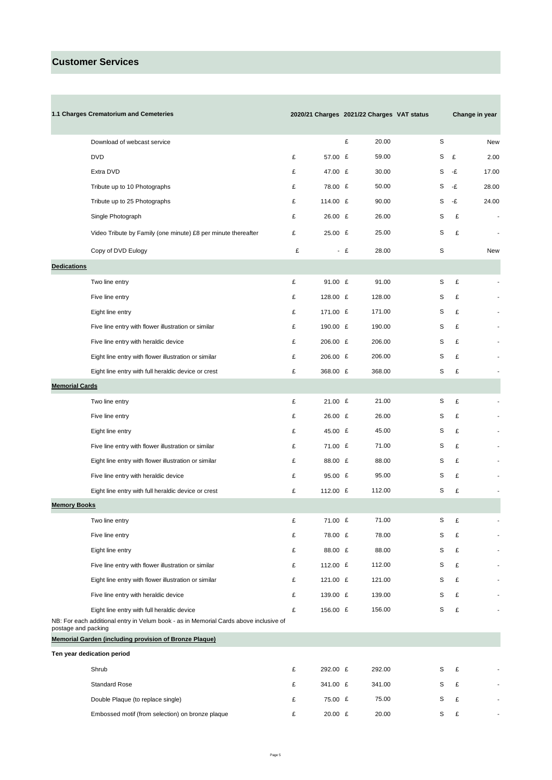**Contract Contract Contract** 

|                       | 1.1 Charges Crematorium and Cemeteries                                                |   |          |      |        | 2020/21 Charges 2021/22 Charges VAT status |   |    | Change in year |
|-----------------------|---------------------------------------------------------------------------------------|---|----------|------|--------|--------------------------------------------|---|----|----------------|
|                       | Download of webcast service                                                           |   |          | £    | 20.00  |                                            | S |    | New            |
|                       | <b>DVD</b>                                                                            | £ | 57.00 £  |      | 59.00  |                                            | S | £  | 2.00           |
|                       | Extra DVD                                                                             | £ | 47.00 £  |      | 30.00  |                                            | S | -£ | 17.00          |
|                       | Tribute up to 10 Photographs                                                          | £ | 78.00 £  |      | 50.00  |                                            | S | -£ | 28.00          |
|                       | Tribute up to 25 Photographs                                                          | £ | 114.00 £ |      | 90.00  |                                            | S | -£ | 24.00          |
|                       | Single Photograph                                                                     | £ | 26.00 £  |      | 26.00  |                                            | S | £  | $\overline{a}$ |
|                       | Video Tribute by Family (one minute) £8 per minute thereafter                         | £ | 25.00 £  |      | 25.00  |                                            | S | £  | $\blacksquare$ |
|                       | Copy of DVD Eulogy                                                                    | £ |          | $-E$ | 28.00  |                                            | S |    | New            |
| <b>Dedications</b>    |                                                                                       |   |          |      |        |                                            |   |    |                |
|                       | Two line entry                                                                        | £ | 91.00 £  |      | 91.00  |                                            | S | £  |                |
|                       | Five line entry                                                                       | £ | 128.00 £ |      | 128.00 |                                            | S | £  |                |
|                       | Eight line entry                                                                      | £ | 171.00 £ |      | 171.00 |                                            | S | £  |                |
|                       | Five line entry with flower illustration or similar                                   | £ | 190.00 £ |      | 190.00 |                                            | S | £  |                |
|                       | Five line entry with heraldic device                                                  | £ | 206.00 £ |      | 206.00 |                                            | S | £  |                |
|                       | Eight line entry with flower illustration or similar                                  | £ | 206.00 £ |      | 206.00 |                                            | S | £  |                |
|                       | Eight line entry with full heraldic device or crest                                   | £ | 368.00 £ |      | 368.00 |                                            | S | £  |                |
| <b>Memorial Cards</b> |                                                                                       |   |          |      |        |                                            |   |    |                |
|                       | Two line entry                                                                        | £ | 21.00 E  |      | 21.00  |                                            | S | £  |                |
|                       | Five line entry                                                                       | £ | 26.00 £  |      | 26.00  |                                            | S | £  |                |
|                       | Eight line entry                                                                      | £ | 45.00 £  |      | 45.00  |                                            | S | £  |                |
|                       | Five line entry with flower illustration or similar                                   | £ | 71.00 £  |      | 71.00  |                                            | S | £  |                |
|                       | Eight line entry with flower illustration or similar                                  | £ | 88.00 £  |      | 88.00  |                                            | S | £  |                |
|                       | Five line entry with heraldic device                                                  | £ | 95.00 £  |      | 95.00  |                                            | S | £  |                |
|                       | Eight line entry with full heraldic device or crest                                   | £ | 112.00 £ |      | 112.00 |                                            | S | £  |                |
| <b>Memory Books</b>   |                                                                                       |   |          |      |        |                                            |   |    |                |
|                       | Two line entry                                                                        | £ | 71.00 £  |      | 71.00  |                                            | S | £  |                |
|                       | Five line entry                                                                       | £ | 78.00 £  |      | 78.00  |                                            | S | £  |                |
|                       | Eight line entry                                                                      | £ | 88.00 £  |      | 88.00  |                                            | S | £  |                |
|                       | Five line entry with flower illustration or similar                                   | £ | 112.00 £ |      | 112.00 |                                            | S | £  |                |
|                       | Eight line entry with flower illustration or similar                                  | £ | 121.00 £ |      | 121.00 |                                            | S | £  |                |
|                       | Five line entry with heraldic device                                                  | £ | 139.00 £ |      | 139.00 |                                            | S | £  |                |
|                       | Eight line entry with full heraldic device                                            | £ | 156.00 £ |      | 156.00 |                                            | S | £  |                |
| postage and packing   | NB: For each additional entry in Velum book - as in Memorial Cards above inclusive of |   |          |      |        |                                            |   |    |                |
|                       | Memorial Garden (including provision of Bronze Plaque)                                |   |          |      |        |                                            |   |    |                |
|                       | Ten year dedication period                                                            |   |          |      |        |                                            |   |    |                |
|                       | Shrub                                                                                 | £ | 292.00 £ |      | 292.00 |                                            | S | £  |                |
|                       | <b>Standard Rose</b>                                                                  | £ | 341.00 £ |      | 341.00 |                                            | S | £  |                |
|                       | Double Plaque (to replace single)                                                     | £ | 75.00 £  |      | 75.00  |                                            | S | £  |                |
|                       | Embossed motif (from selection) on bronze plaque                                      | £ | 20.00 £  |      | 20.00  |                                            | S | £  |                |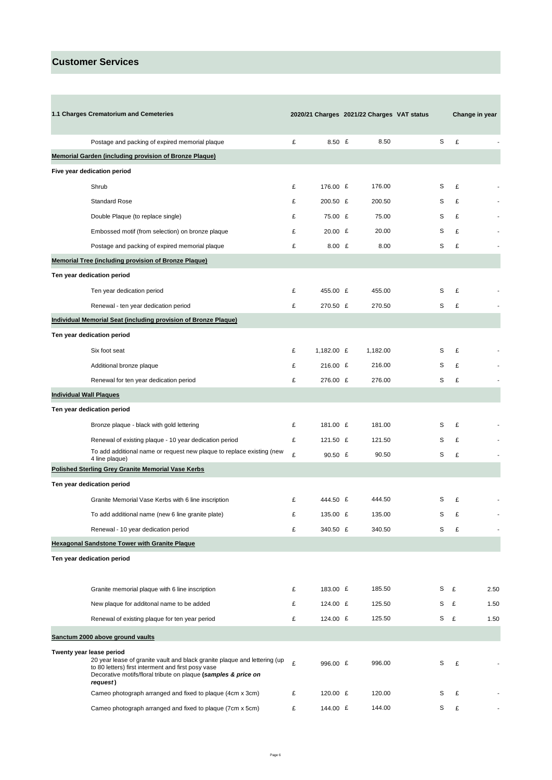**Contract Contract** 

|                                | 1.1 Charges Crematorium and Cemeteries                                                                                                                                                                                                    |   |              | 2020/21 Charges 2021/22 Charges VAT status |   | Change in year |      |
|--------------------------------|-------------------------------------------------------------------------------------------------------------------------------------------------------------------------------------------------------------------------------------------|---|--------------|--------------------------------------------|---|----------------|------|
|                                |                                                                                                                                                                                                                                           |   |              |                                            |   |                |      |
|                                | Postage and packing of expired memorial plaque                                                                                                                                                                                            | £ | 8.50 $E$     | 8.50                                       | S | £              |      |
|                                | Memorial Garden (including provision of Bronze Plaque)                                                                                                                                                                                    |   |              |                                            |   |                |      |
|                                | Five year dedication period                                                                                                                                                                                                               |   |              |                                            |   |                |      |
|                                | Shrub                                                                                                                                                                                                                                     | £ | 176.00 £     | 176.00                                     | S | £              |      |
|                                | <b>Standard Rose</b>                                                                                                                                                                                                                      | £ | 200.50 £     | 200.50                                     | S | £              |      |
|                                | Double Plaque (to replace single)                                                                                                                                                                                                         | £ | 75.00 £      | 75.00                                      | S | £              |      |
|                                | Embossed motif (from selection) on bronze plaque                                                                                                                                                                                          | £ | $20.00$ £    | 20.00                                      | S | £              |      |
|                                | Postage and packing of expired memorial plaque                                                                                                                                                                                            | £ | $8.00$ £     | 8.00                                       | S | £              |      |
|                                | <b>Memorial Tree (including provision of Bronze Plaque)</b>                                                                                                                                                                               |   |              |                                            |   |                |      |
|                                | Ten year dedication period                                                                                                                                                                                                                |   |              |                                            |   |                |      |
|                                | Ten year dedication period                                                                                                                                                                                                                | £ | 455.00 £     | 455.00                                     | S | £              |      |
|                                | Renewal - ten year dedication period                                                                                                                                                                                                      | £ | 270.50 £     | 270.50                                     | S | £              |      |
|                                | <b>Individual Memorial Seat (including provision of Bronze Plaque)</b>                                                                                                                                                                    |   |              |                                            |   |                |      |
|                                | Ten year dedication period                                                                                                                                                                                                                |   |              |                                            |   |                |      |
|                                | Six foot seat                                                                                                                                                                                                                             | £ | 1,182.00 $E$ | 1,182.00                                   | S | £              |      |
|                                | Additional bronze plaque                                                                                                                                                                                                                  | £ | 216.00 £     | 216.00                                     | S | £              |      |
|                                | Renewal for ten year dedication period                                                                                                                                                                                                    | £ | 276.00 £     | 276.00                                     | S | £              |      |
| <b>Individual Wall Plaques</b> |                                                                                                                                                                                                                                           |   |              |                                            |   |                |      |
|                                | Ten year dedication period                                                                                                                                                                                                                |   |              |                                            |   |                |      |
|                                | Bronze plaque - black with gold lettering                                                                                                                                                                                                 | £ | 181.00 £     | 181.00                                     | S | £              |      |
|                                | Renewal of existing plaque - 10 year dedication period                                                                                                                                                                                    | £ | 121.50 £     | 121.50                                     | S | £              |      |
|                                | To add additional name or request new plaque to replace existing (new                                                                                                                                                                     | £ | 90.50 $E$    | 90.50                                      | S | £              |      |
|                                | 4 line plaque)<br><b>Polished Sterling Grey Granite Memorial Vase Kerbs</b>                                                                                                                                                               |   |              |                                            |   |                |      |
|                                | Ten year dedication period                                                                                                                                                                                                                |   |              |                                            |   |                |      |
|                                | Granite Memorial Vase Kerbs with 6 line inscription                                                                                                                                                                                       | £ | 444.50 £     | 444.50                                     | S | £              |      |
|                                | To add additional name (new 6 line granite plate)                                                                                                                                                                                         | £ | 135.00 £     | 135.00                                     | S | £              |      |
|                                | Renewal - 10 year dedication period                                                                                                                                                                                                       | £ | 340.50 £     | 340.50                                     | S | £              |      |
|                                | <b>Hexagonal Sandstone Tower with Granite Plaque</b>                                                                                                                                                                                      |   |              |                                            |   |                |      |
|                                | Ten year dedication period                                                                                                                                                                                                                |   |              |                                            |   |                |      |
|                                |                                                                                                                                                                                                                                           |   |              |                                            |   |                |      |
|                                | Granite memorial plaque with 6 line inscription                                                                                                                                                                                           | £ | 183.00 £     | 185.50                                     | S | £              | 2.50 |
|                                | New plaque for additonal name to be added                                                                                                                                                                                                 | £ | 124.00 £     | 125.50                                     | S | £              |      |
|                                |                                                                                                                                                                                                                                           |   |              |                                            |   |                | 1.50 |
|                                | Renewal of existing plaque for ten year period                                                                                                                                                                                            | £ | 124.00 £     | 125.50                                     | S | £              | 1.50 |
|                                | Sanctum 2000 above ground vaults                                                                                                                                                                                                          |   |              |                                            |   |                |      |
|                                | Twenty year lease period<br>20 year lease of granite vault and black granite plaque and lettering (up<br>to 80 letters) first interment and first posy vase<br>Decorative motifs/floral tribute on plaque (samples & price on<br>request) | £ | 996.00 £     | 996.00                                     | S | £              |      |
|                                | Cameo photograph arranged and fixed to plaque (4cm x 3cm)                                                                                                                                                                                 | £ | 120.00 £     | 120.00                                     | S | £              |      |
|                                | Cameo photograph arranged and fixed to plaque (7cm x 5cm)                                                                                                                                                                                 | £ | 144.00 £     | 144.00                                     | S | £              |      |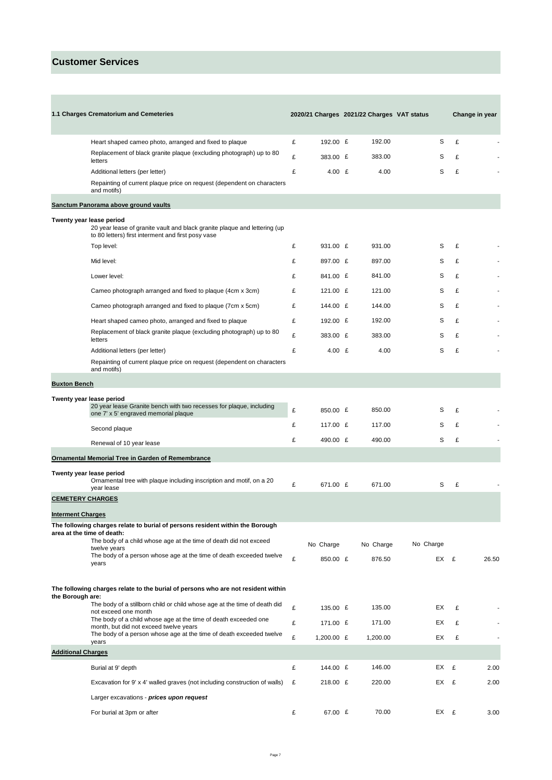**Contract Contract** 

|                           | 1.1 Charges Crematorium and Cemeteries                                                                                                                      |   |              | 2020/21 Charges 2021/22 Charges VAT status |           |   | Change in year |
|---------------------------|-------------------------------------------------------------------------------------------------------------------------------------------------------------|---|--------------|--------------------------------------------|-----------|---|----------------|
|                           |                                                                                                                                                             |   |              |                                            |           |   |                |
|                           | Heart shaped cameo photo, arranged and fixed to plaque<br>Replacement of black granite plaque (excluding photograph) up to 80                               | £ | 192.00 £     | 192.00                                     | S         | £ |                |
|                           | letters                                                                                                                                                     | £ | 383.00 £     | 383.00                                     | S         | £ |                |
|                           | Additional letters (per letter)                                                                                                                             | £ | 4.00 $E$     | 4.00                                       | S         | £ |                |
|                           | Repainting of current plaque price on request (dependent on characters<br>and motifs)                                                                       |   |              |                                            |           |   |                |
|                           | Sanctum Panorama above ground vaults                                                                                                                        |   |              |                                            |           |   |                |
|                           | Twenty year lease period<br>20 year lease of granite vault and black granite plaque and lettering (up<br>to 80 letters) first interment and first posy vase |   |              |                                            |           |   |                |
|                           | Top level:                                                                                                                                                  | £ | 931.00 £     | 931.00                                     | S         | £ |                |
|                           | Mid level:                                                                                                                                                  | £ | 897.00 £     | 897.00                                     | S         | £ |                |
|                           | Lower level:                                                                                                                                                | £ | 841.00 £     | 841.00                                     | S         | £ |                |
|                           | Cameo photograph arranged and fixed to plaque (4cm x 3cm)                                                                                                   | £ | 121.00 £     | 121.00                                     | S         | £ |                |
|                           | Cameo photograph arranged and fixed to plaque (7cm x 5cm)                                                                                                   | £ | 144.00 £     | 144.00                                     | S         | £ |                |
|                           | Heart shaped cameo photo, arranged and fixed to plaque                                                                                                      | £ | 192.00 £     | 192.00                                     | S         | £ |                |
|                           | Replacement of black granite plaque (excluding photograph) up to 80<br>letters                                                                              | £ | 383.00 £     | 383.00                                     | S         | £ |                |
|                           | Additional letters (per letter)                                                                                                                             | £ | 4.00 $E$     | 4.00                                       | S         | £ |                |
|                           | Repainting of current plaque price on request (dependent on characters<br>and motifs)                                                                       |   |              |                                            |           |   |                |
| <b>Buxton Bench</b>       |                                                                                                                                                             |   |              |                                            |           |   |                |
|                           | Twenty year lease period                                                                                                                                    |   |              |                                            |           |   |                |
|                           | 20 year lease Granite bench with two recesses for plaque, including<br>one 7' x 5' engraved memorial plaque                                                 | £ | 850.00 £     | 850.00                                     | S         | £ |                |
|                           | Second plaque                                                                                                                                               | £ | 117.00 £     | 117.00                                     | S         | £ |                |
|                           | Renewal of 10 year lease                                                                                                                                    | £ | 490.00 £     | 490.00                                     | S         | £ |                |
|                           | <b>Ornamental Memorial Tree in Garden of Remembrance</b>                                                                                                    |   |              |                                            |           |   |                |
|                           | Twenty year lease period<br>Ornamental tree with plaque including inscription and motif, on a 20<br>year lease                                              | £ | 671.00 £     | 671.00                                     | S         | £ |                |
| <b>CEMETERY CHARGES</b>   |                                                                                                                                                             |   |              |                                            |           |   |                |
| <b>Interment Charges</b>  |                                                                                                                                                             |   |              |                                            |           |   |                |
|                           | The following charges relate to burial of persons resident within the Borough<br>area at the time of death:                                                 |   |              |                                            |           |   |                |
|                           | The body of a child whose age at the time of death did not exceed                                                                                           |   | No Charge    | No Charge                                  | No Charge |   |                |
|                           | twelve years<br>The body of a person whose age at the time of death exceeded twelve                                                                         | £ | 850.00 £     | 876.50                                     | EX £      |   | 26.50          |
|                           | years                                                                                                                                                       |   |              |                                            |           |   |                |
| the Borough are:          | The following charges relate to the burial of persons who are not resident within                                                                           |   |              |                                            |           |   |                |
|                           | The body of a stillborn child or child whose age at the time of death did<br>not exceed one month                                                           | £ | 135.00 £     | 135.00                                     | EX        | £ |                |
|                           | The body of a child whose age at the time of death exceeded one<br>month, but did not exceed twelve years                                                   | £ | 171.00 £     | 171.00                                     | EX        | £ |                |
|                           | The body of a person whose age at the time of death exceeded twelve<br>years                                                                                | £ | 1,200.00 $E$ | 1,200.00                                   | EX        | £ |                |
| <b>Additional Charges</b> |                                                                                                                                                             |   |              |                                            |           |   |                |
|                           | Burial at 9' depth                                                                                                                                          | £ | 144.00 £     | 146.00                                     | EX        | £ | 2.00           |
|                           | Excavation for 9' x 4' walled graves (not including construction of walls)                                                                                  | £ | 218.00 £     | 220.00                                     | EX £      |   | 2.00           |
|                           | Larger excavations - prices upon request                                                                                                                    |   |              |                                            |           |   |                |
|                           | For burial at 3pm or after                                                                                                                                  | £ | 67.00 £      | 70.00                                      | EX £      |   | 3.00           |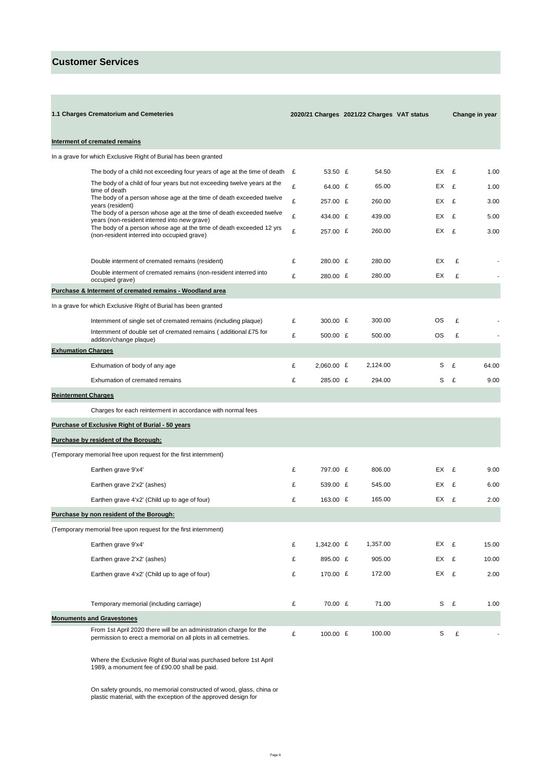|                            | 1.1 Charges Crematorium and Cemeteries                                                                                              |   |            | 2020/21 Charges 2021/22 Charges VAT status |      | Change in year |       |
|----------------------------|-------------------------------------------------------------------------------------------------------------------------------------|---|------------|--------------------------------------------|------|----------------|-------|
|                            | Interment of cremated remains                                                                                                       |   |            |                                            |      |                |       |
|                            | In a grave for which Exclusive Right of Burial has been granted                                                                     |   |            |                                            |      |                |       |
|                            | The body of a child not exceeding four years of age at the time of death                                                            | £ | 53.50 £    | 54.50                                      |      | EX £           | 1.00  |
|                            | The body of a child of four years but not exceeding twelve years at the<br>time of death                                            | £ | 64.00 £    | 65.00                                      | EX £ |                | 1.00  |
|                            | The body of a person whose age at the time of death exceeded twelve<br>years (resident)                                             | £ | 257.00 £   | 260.00                                     | EX   | £              | 3.00  |
|                            | The body of a person whose age at the time of death exceeded twelve<br>years (non-resident interred into new grave)                 | £ | 434.00 £   | 439.00                                     | EX   | £              | 5.00  |
|                            | The body of a person whose age at the time of death exceeded 12 yrs<br>(non-resident interred into occupied grave)                  | £ | 257.00 £   | 260.00                                     | EX £ |                | 3.00  |
|                            | Double interment of cremated remains (resident)                                                                                     | £ | 280.00 £   | 280.00                                     | EX   | £              |       |
|                            | Double interment of cremated remains (non-resident interred into<br>occupied grave)                                                 | £ | 280.00 £   | 280.00                                     | EX.  | £              |       |
|                            | Purchase & Interment of cremated remains - Woodland area                                                                            |   |            |                                            |      |                |       |
|                            | In a grave for which Exclusive Right of Burial has been granted                                                                     |   |            |                                            |      |                |       |
|                            | Internment of single set of cremated remains (including plaque)                                                                     | £ | 300.00 $E$ | 300.00                                     | ОS   | £              |       |
|                            | Internment of double set of cremated remains (additional £75 for<br>additon/change plaque)                                          | £ | 500.00 £   | 500.00                                     | OS   | £              |       |
| <b>Exhumation Charges</b>  |                                                                                                                                     |   |            |                                            |      |                |       |
|                            | Exhumation of body of any age                                                                                                       | £ | 2,060.00 £ | 2,124.00                                   | S    | £              | 64.00 |
|                            | Exhumation of cremated remains                                                                                                      | £ | 285.00 £   | 294.00                                     | S    | £              | 9.00  |
| <b>Reinterment Charges</b> |                                                                                                                                     |   |            |                                            |      |                |       |
|                            | Charges for each reinterment in accordance with normal fees                                                                         |   |            |                                            |      |                |       |
|                            | <b>Purchase of Exclusive Right of Burial - 50 years</b>                                                                             |   |            |                                            |      |                |       |
|                            | Purchase by resident of the Borough:                                                                                                |   |            |                                            |      |                |       |
|                            | (Temporary memorial free upon request for the first internment)                                                                     |   |            |                                            |      |                |       |
|                            | Earthen grave 9'x4'                                                                                                                 | £ | 797.00 £   | 806.00                                     | EX £ |                | 9.00  |
|                            | Earthen grave 2'x2' (ashes)                                                                                                         | £ | 539.00 £   | 545.00                                     | EX   | E              | 6.00  |
|                            | Earthen grave 4'x2' (Child up to age of four)                                                                                       | £ | 163.00 £   | 165.00                                     | EX.  | £              | 2.00  |
|                            | Purchase by non resident of the Borough:                                                                                            |   |            |                                            |      |                |       |
|                            | (Temporary memorial free upon request for the first internment)                                                                     |   |            |                                            |      |                |       |
|                            | Earthen grave 9'x4'                                                                                                                 | £ | 1,342.00 £ | 1,357.00                                   |      | EX £           | 15.00 |
|                            | Earthen grave 2'x2' (ashes)                                                                                                         | £ | 895.00 £   | 905.00                                     |      | EX £           | 10.00 |
|                            | Earthen grave 4'x2' (Child up to age of four)                                                                                       | £ | 170.00 £   | 172.00                                     |      | EX £           | 2.00  |
|                            | Temporary memorial (including carriage)                                                                                             | £ | 70.00 £    | 71.00                                      | S    | £              | 1.00  |
|                            | <b>Monuments and Gravestones</b>                                                                                                    |   |            |                                            |      |                |       |
|                            | From 1st April 2020 there will be an administration charge for the<br>permission to erect a memorial on all plots in all cemetries. | £ | 100.00 £   | 100.00                                     | S    | £              |       |

Where the Exclusive Right of Burial was purchased before 1st April 1989, a monument fee of £90.00 shall be paid.

On safety grounds, no memorial constructed of wood, glass, china or plastic material, with the exception of the approved design for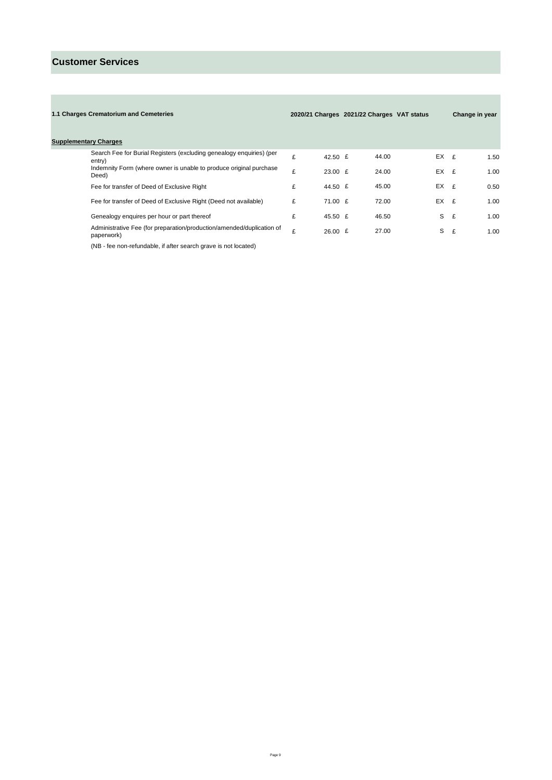| 1.1 Charges Crematorium and Cemeteries                                              |   |                          | 2020/21 Charges 2021/22 Charges VAT status |          | Change in year |      |
|-------------------------------------------------------------------------------------|---|--------------------------|--------------------------------------------|----------|----------------|------|
| <b>Supplementary Charges</b>                                                        |   |                          |                                            |          |                |      |
| Search Fee for Burial Registers (excluding genealogy enguiries) (per<br>entry)      | £ | 42.50 $E$                | 44.00                                      | $EX$ $E$ |                | 1.50 |
| Indemnity Form (where owner is unable to produce original purchase<br>Deed)         | £ | 23.00 E                  | 24.00                                      | $EX$ £   |                | 1.00 |
| Fee for transfer of Deed of Exclusive Right                                         | £ | 44.50 £                  | 45.00                                      | $EX$ £   |                | 0.50 |
| Fee for transfer of Deed of Exclusive Right (Deed not available)                    | £ | 71.00 £                  | 72.00                                      | $EX$ £   |                | 1.00 |
| Genealogy enquires per hour or part thereof                                         | £ | 45.50 £                  | 46.50                                      | S.       | £              | 1.00 |
| Administrative Fee (for preparation/production/amended/duplication of<br>paperwork) | £ | $26.00 \text{ } \pounds$ | 27.00                                      | S.       | £              | 1.00 |

(NB - fee non-refundable, if after search grave is not located)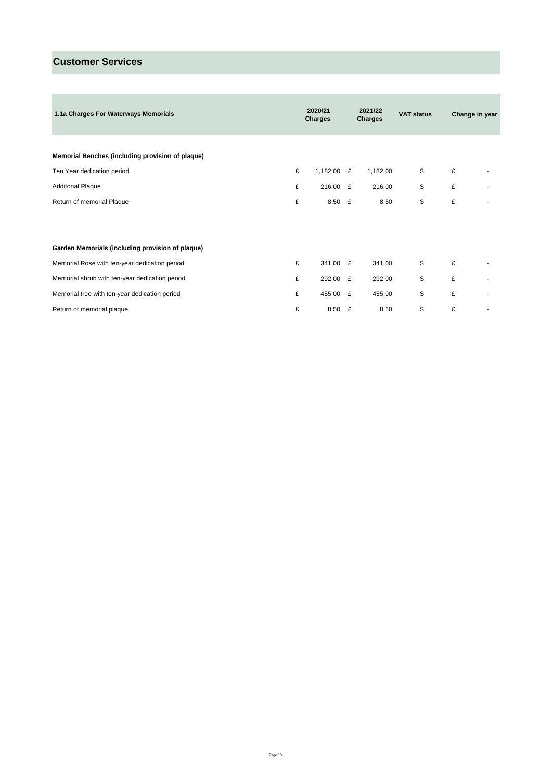| 1.1a Charges For Waterways Memorials             | 2020/21<br>Charges |            |  | 2021/22<br>Charges | <b>VAT status</b> |   | Change in year |
|--------------------------------------------------|--------------------|------------|--|--------------------|-------------------|---|----------------|
|                                                  |                    |            |  |                    |                   |   |                |
| Memorial Benches (including provision of plaque) |                    |            |  |                    |                   |   |                |
| Ten Year dedication period                       | £                  | 1,182.00 £ |  | 1,182.00           | S                 | £ |                |
| <b>Additonal Plaque</b>                          | £                  | 216.00 £   |  | 216.00             | S                 | £ |                |
| Return of memorial Plaque                        | £                  | $8.50$ £   |  | 8.50               | S                 | £ |                |
|                                                  |                    |            |  |                    |                   |   |                |
|                                                  |                    |            |  |                    |                   |   |                |
| Garden Memorials (including provision of plaque) |                    |            |  |                    |                   |   |                |
| Memorial Rose with ten-year dedication period    | £                  | 341.00 £   |  | 341.00             | S                 | £ |                |
| Memorial shrub with ten-year dedication period   | £                  | 292.00 £   |  | 292.00             | S                 | £ |                |
| Memorial tree with ten-year dedication period    | £                  | 455.00 £   |  | 455.00             | S                 | £ |                |
| Return of memorial plaque                        | £                  | 8.50 £     |  | 8.50               | S                 | £ |                |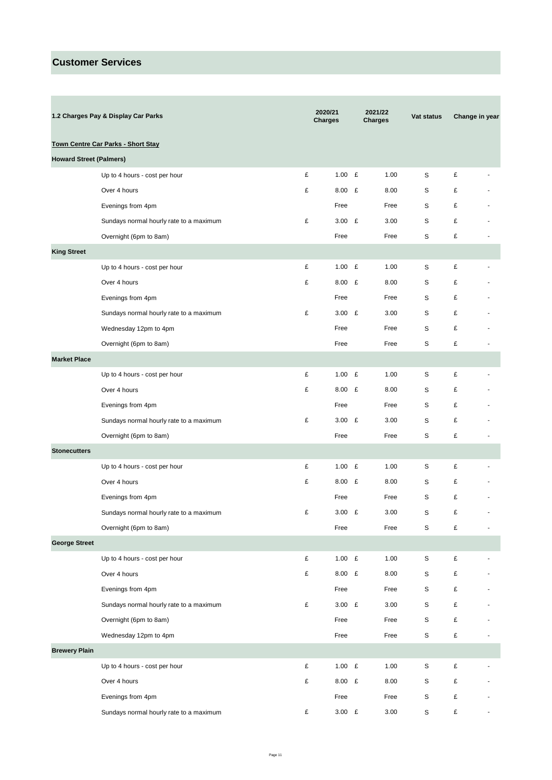| 1.2 Charges Pay & Display Car Parks |                                           |   | 2020/21<br><b>Charges</b> | 2021/22<br><b>Charges</b> |      | Vat status  | Change in year |                          |
|-------------------------------------|-------------------------------------------|---|---------------------------|---------------------------|------|-------------|----------------|--------------------------|
|                                     | <b>Town Centre Car Parks - Short Stay</b> |   |                           |                           |      |             |                |                          |
| <b>Howard Street (Palmers)</b>      |                                           |   |                           |                           |      |             |                |                          |
|                                     | Up to 4 hours - cost per hour             | £ | 1.00 $E$                  |                           | 1.00 | S           | £              |                          |
|                                     | Over 4 hours                              | £ | $8.00$ £                  |                           | 8.00 | S           | £              |                          |
|                                     | Evenings from 4pm                         |   | Free                      |                           | Free | S           | £              |                          |
|                                     | Sundays normal hourly rate to a maximum   | £ | 3.00 $E$                  |                           | 3.00 | S           | £              |                          |
|                                     | Overnight (6pm to 8am)                    |   | Free                      |                           | Free | S           | £              |                          |
| <b>King Street</b>                  |                                           |   |                           |                           |      |             |                |                          |
|                                     | Up to 4 hours - cost per hour             | £ | 1.00 $E$                  |                           | 1.00 | S           | £              |                          |
|                                     | Over 4 hours                              | £ | $8.00$ £                  |                           | 8.00 | S           | £              |                          |
|                                     | Evenings from 4pm                         |   | Free                      |                           | Free | S           | £              |                          |
|                                     | Sundays normal hourly rate to a maximum   | £ | 3.00 $E$                  |                           | 3.00 | S           | £              |                          |
|                                     | Wednesday 12pm to 4pm                     |   | Free                      |                           | Free | S           | £              |                          |
|                                     | Overnight (6pm to 8am)                    |   | Free                      |                           | Free | S           | £              |                          |
| <b>Market Place</b>                 |                                           |   |                           |                           |      |             |                |                          |
|                                     | Up to 4 hours - cost per hour             | £ | 1.00 $E$                  |                           | 1.00 | S           | £              |                          |
|                                     | Over 4 hours                              | £ | $8.00$ £                  |                           | 8.00 | S           | £              |                          |
|                                     | Evenings from 4pm                         |   | Free                      |                           | Free | S           | £              |                          |
|                                     | Sundays normal hourly rate to a maximum   | £ | 3.00 $E$                  |                           | 3.00 | S           | £              |                          |
|                                     | Overnight (6pm to 8am)                    |   | Free                      |                           | Free | S           | £              |                          |
| <b>Stonecutters</b>                 |                                           |   |                           |                           |      |             |                |                          |
|                                     | Up to 4 hours - cost per hour             | £ | 1.00 E                    |                           | 1.00 | S           | £              |                          |
|                                     | Over 4 hours                              | £ | $8.00$ £                  |                           | 8.00 | S           | £              |                          |
|                                     | Evenings from 4pm                         |   | Free                      |                           | Free | S           | £              |                          |
|                                     | Sundays normal hourly rate to a maximum   | £ | $3.00$ £                  |                           | 3.00 | S           | £              |                          |
|                                     | Overnight (6pm to 8am)                    |   | Free                      |                           | Free | S           | £              |                          |
| <b>George Street</b>                |                                           |   |                           |                           |      |             |                |                          |
|                                     | Up to 4 hours - cost per hour             | £ | 1.00 $E$                  |                           | 1.00 | $\mathsf S$ | £              |                          |
|                                     | Over 4 hours                              | £ | 8.00 £                    |                           | 8.00 | S           | £              |                          |
|                                     | Evenings from 4pm                         |   | Free                      |                           | Free | S           | £              |                          |
|                                     | Sundays normal hourly rate to a maximum   | £ | 3.00 $E$                  |                           | 3.00 | S           | £              |                          |
|                                     | Overnight (6pm to 8am)                    |   | Free                      |                           | Free | S           | £              |                          |
|                                     | Wednesday 12pm to 4pm                     |   | Free                      |                           | Free | $\mathsf S$ | £              |                          |
| <b>Brewery Plain</b>                |                                           |   |                           |                           |      |             |                |                          |
|                                     | Up to 4 hours - cost per hour             | £ | $1.00$ £                  |                           | 1.00 | S           | £              |                          |
|                                     | Over 4 hours                              | £ | $8.00$ £                  |                           | 8.00 | S           | £              |                          |
|                                     | Evenings from 4pm                         |   | Free                      |                           | Free | S           | £              |                          |
|                                     | Sundays normal hourly rate to a maximum   | £ | 3.00 E                    |                           | 3.00 | S           | £              | $\overline{\phantom{a}}$ |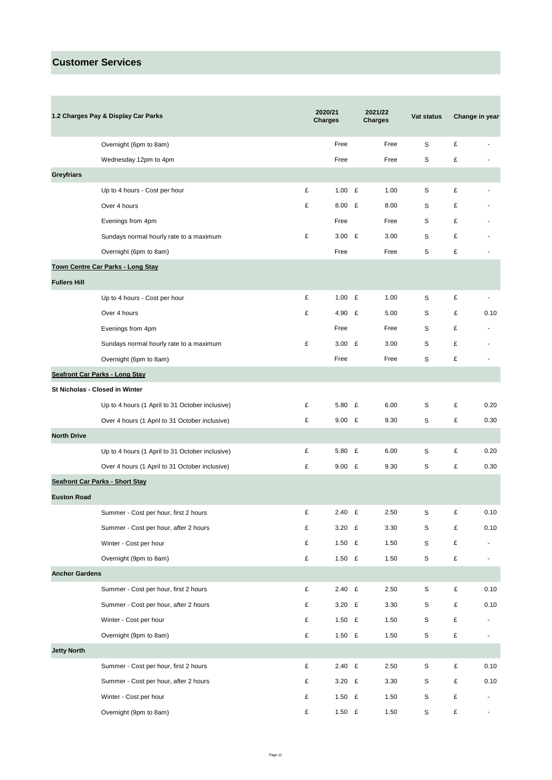Ē.

|                       | 1.2 Charges Pay & Display Car Parks             |   | 2020/21<br><b>Charges</b> | 2021/22<br><b>Charges</b> | Vat status  |           | Change in year           |
|-----------------------|-------------------------------------------------|---|---------------------------|---------------------------|-------------|-----------|--------------------------|
|                       | Overnight (6pm to 8am)                          |   | Free                      | Free                      | S           | £         |                          |
|                       | Wednesday 12pm to 4pm                           |   | Free                      | Free                      | S           | £         |                          |
| <b>Greyfriars</b>     |                                                 |   |                           |                           |             |           |                          |
|                       | Up to 4 hours - Cost per hour                   | £ | 1.00 $E$                  | 1.00                      | S           | £         |                          |
|                       | Over 4 hours                                    | £ | $8.00$ £                  | 8.00                      | S           | £         |                          |
|                       | Evenings from 4pm                               |   | Free                      | Free                      | S           | £         |                          |
|                       | Sundays normal hourly rate to a maximum         | £ | 3.00 E                    | 3.00                      | S           | £         |                          |
|                       | Overnight (6pm to 8am)                          |   | Free                      | Free                      | S           | £         |                          |
|                       | Town Centre Car Parks - Long Stay               |   |                           |                           |             |           |                          |
| <b>Fullers Hill</b>   |                                                 |   |                           |                           |             |           |                          |
|                       | Up to 4 hours - Cost per hour                   | £ | 1.00 $E$                  | 1.00                      | S           | £         | $\overline{\phantom{a}}$ |
|                       | Over 4 hours                                    | £ | 4.90 $E$                  | 5.00                      | S           | £         | 0.10                     |
|                       | Evenings from 4pm                               |   | Free                      | Free                      | S           | £         |                          |
|                       | Sundays normal hourly rate to a maximum         | £ | 3.00 E                    | 3.00                      | S           | £         |                          |
|                       | Overnight (6pm to 8am)                          |   | Free                      | Free                      | S           | £         |                          |
|                       | <b>Seafront Car Parks - Long Stay</b>           |   |                           |                           |             |           |                          |
|                       | St Nicholas - Closed in Winter                  |   |                           |                           |             |           |                          |
|                       | Up to 4 hours (1 April to 31 October inclusive) | £ | 5.80 $E$                  | 6.00                      | S           | £         | 0.20                     |
|                       | Over 4 hours (1 April to 31 October inclusive)  | £ | 9.00 E                    | 9.30                      | S           | £         | 0.30                     |
| <b>North Drive</b>    |                                                 |   |                           |                           |             |           |                          |
|                       | Up to 4 hours (1 April to 31 October inclusive) | £ | 5.80 $E$                  | 6.00                      | S           | £         | 0.20                     |
|                       | Over 4 hours (1 April to 31 October inclusive)  | £ | $9.00$ £                  | 9.30                      | S           | £         | 0.30                     |
|                       | <b>Seafront Car Parks - Short Stay</b>          |   |                           |                           |             |           |                          |
| <b>Euston Road</b>    |                                                 |   |                           |                           |             |           |                          |
|                       | Summer - Cost per hour, first 2 hours           | £ | 2.40<br>£                 | 2.50                      | S           | £         | 0.10                     |
|                       | Summer - Cost per hour, after 2 hours           | £ | 3.20 $E$                  | 3.30                      | S           | £         | 0.10                     |
|                       | Winter - Cost per hour                          | £ | 1.50 $E$                  | 1.50                      | S           | £         | $\overline{a}$           |
|                       | Overnight (9pm to 8am)                          | £ | 1.50 $E$                  | 1.50                      | S           | £         | $\overline{\phantom{a}}$ |
| <b>Anchor Gardens</b> |                                                 |   |                           |                           |             |           |                          |
|                       | Summer - Cost per hour, first 2 hours           | £ | 2.40 E                    | 2.50                      | S           | £         | 0.10                     |
|                       | Summer - Cost per hour, after 2 hours           | £ | 3.20 $E$                  | 3.30                      | S           | £         | 0.10                     |
|                       | Winter - Cost per hour                          | £ | 1.50 $E$                  | 1.50                      | S           | £         | $\overline{\phantom{a}}$ |
|                       | Overnight (9pm to 8am)                          | £ | 1.50 $E$                  | 1.50                      | S           | £         | $\blacksquare$           |
| <b>Jetty North</b>    |                                                 |   |                           |                           |             |           |                          |
|                       | Summer - Cost per hour, first 2 hours           | £ | 2.40 E                    | 2.50                      | $\mathsf S$ | $\pounds$ | 0.10                     |
|                       | Summer - Cost per hour, after 2 hours           | £ | 3.20 $E$                  | 3.30                      | S           | £         | 0.10                     |
|                       | Winter - Cost per hour                          | £ | 1.50 $E$                  | 1.50                      | S           | £         | $\overline{\phantom{a}}$ |
|                       | Overnight (9pm to 8am)                          | £ | 1.50 $E$                  | 1.50                      | S           | £         | $\overline{\phantom{a}}$ |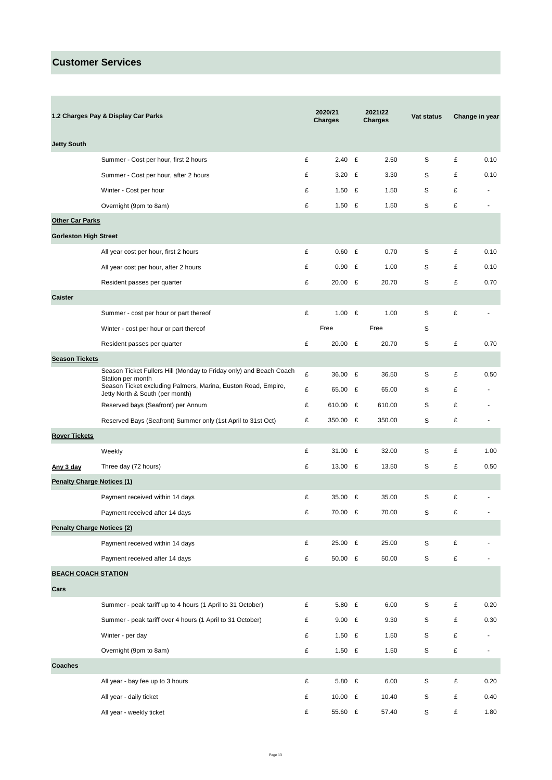Ē.

| 1.2 Charges Pay & Display Car Parks |                                                                                                  |   | 2020/21<br><b>Charges</b> |   | 2021/22<br><b>Charges</b> | Vat status  | Change in year |                |
|-------------------------------------|--------------------------------------------------------------------------------------------------|---|---------------------------|---|---------------------------|-------------|----------------|----------------|
| <b>Jetty South</b>                  |                                                                                                  |   |                           |   |                           |             |                |                |
|                                     | Summer - Cost per hour, first 2 hours                                                            | £ | 2.40 E                    |   | 2.50                      | S           | £              | 0.10           |
|                                     | Summer - Cost per hour, after 2 hours                                                            | £ | 3.20 $E$                  |   | 3.30                      | S           | £              | 0.10           |
|                                     | Winter - Cost per hour                                                                           | £ | 1.50 $E$                  |   | 1.50                      | S           | £              |                |
|                                     | Overnight (9pm to 8am)                                                                           | £ | 1.50 $E$                  |   | 1.50                      | S           | £              |                |
| <b>Other Car Parks</b>              |                                                                                                  |   |                           |   |                           |             |                |                |
| <b>Gorleston High Street</b>        |                                                                                                  |   |                           |   |                           |             |                |                |
|                                     | All year cost per hour, first 2 hours                                                            | £ | $0.60$ £                  |   | 0.70                      | S           | £              | 0.10           |
|                                     | All year cost per hour, after 2 hours                                                            | £ | 0.90                      | £ | 1.00                      | S           | £              | 0.10           |
|                                     | Resident passes per quarter                                                                      | £ | 20.00 £                   |   | 20.70                     | S           | £              | 0.70           |
| <b>Caister</b>                      |                                                                                                  |   |                           |   |                           |             |                |                |
|                                     | Summer - cost per hour or part thereof                                                           | £ | 1.00 $E$                  |   | 1.00                      | S           | £              |                |
|                                     | Winter - cost per hour or part thereof                                                           |   | Free                      |   | Free                      | S           |                |                |
|                                     | Resident passes per quarter                                                                      | £ | 20.00 £                   |   | 20.70                     | S           | £              | 0.70           |
| <b>Season Tickets</b>               |                                                                                                  |   |                           |   |                           |             |                |                |
|                                     | Season Ticket Fullers Hill (Monday to Friday only) and Beach Coach<br>Station per month          | £ | 36.00 £                   |   | 36.50                     | S           | £              | 0.50           |
|                                     | Season Ticket excluding Palmers, Marina, Euston Road, Empire,<br>Jetty North & South (per month) | £ | 65.00 £                   |   | 65.00                     | S           | £              |                |
|                                     | Reserved bays (Seafront) per Annum                                                               | £ | 610.00 £                  |   | 610.00                    | S           | £              |                |
|                                     | Reserved Bays (Seafront) Summer only (1st April to 31st Oct)                                     | £ | 350.00 £                  |   | 350.00                    | S           | £              | $\overline{a}$ |
| <b>Rover Tickets</b>                |                                                                                                  |   |                           |   |                           |             |                |                |
|                                     | Weekly                                                                                           | £ | 31.00 £                   |   | 32.00                     | S           | £              | 1.00           |
| Any 3 day                           | Three day (72 hours)                                                                             | £ | 13.00 £                   |   | 13.50                     | S           | £              | 0.50           |
| <b>Penalty Charge Notices (1)</b>   |                                                                                                  |   |                           |   |                           |             |                |                |
|                                     | Payment received within 14 days                                                                  | £ | 35.00 £                   |   | 35.00                     | S           | £              |                |
|                                     | Payment received after 14 days                                                                   | £ | 70.00                     | £ | 70.00                     | S           | £              |                |
| <b>Penalty Charge Notices (2)</b>   |                                                                                                  |   |                           |   |                           |             |                |                |
|                                     | Payment received within 14 days                                                                  | £ | 25.00 £                   |   | 25.00                     | S           | £              |                |
|                                     | Payment received after 14 days                                                                   | £ | 50.00 £                   |   | 50.00                     | S           | £              |                |
| <b>BEACH COACH STATION</b>          |                                                                                                  |   |                           |   |                           |             |                |                |
| Cars                                |                                                                                                  |   |                           |   |                           |             |                |                |
|                                     | Summer - peak tariff up to 4 hours (1 April to 31 October)                                       | £ | 5.80 £                    |   | 6.00                      | S           | £              | 0.20           |
|                                     | Summer - peak tariff over 4 hours (1 April to 31 October)                                        | £ | $9.00$ £                  |   | 9.30                      | S           | £              | 0.30           |
|                                     | Winter - per day                                                                                 | £ | 1.50 $E$                  |   | 1.50                      | S           | £              |                |
|                                     | Overnight (9pm to 8am)                                                                           | £ | 1.50 $E$                  |   | 1.50                      | S           | £              | $\overline{a}$ |
| <b>Coaches</b>                      |                                                                                                  |   |                           |   |                           |             |                |                |
|                                     | All year - bay fee up to 3 hours                                                                 | £ | 5.80 £                    |   | 6.00                      | S           | £              | 0.20           |
|                                     | All year - daily ticket                                                                          | £ | 10.00 £                   |   | 10.40                     | $\mathbb S$ | £              | 0.40           |
|                                     | All year - weekly ticket                                                                         | £ | 55.60 £                   |   | 57.40                     | S           | £              | 1.80           |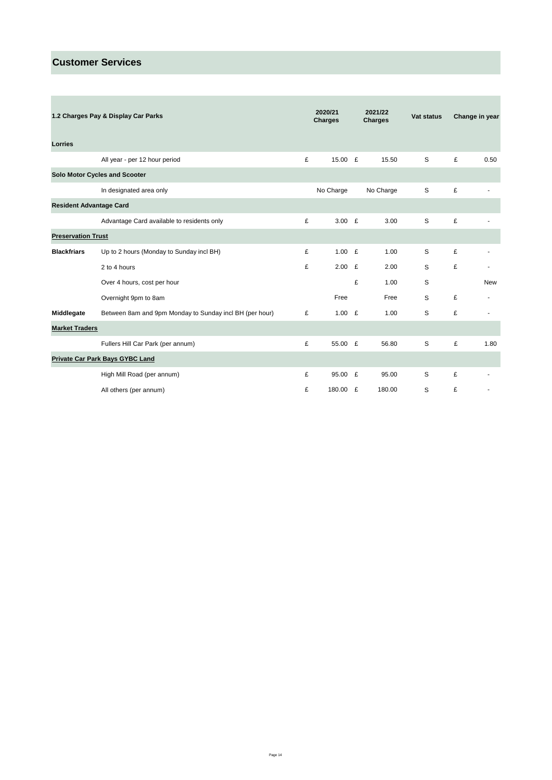\_\_\_\_\_\_\_

| 1.2 Charges Pay & Display Car Parks |                                                         | 2020/21<br>Charges |           | 2021/22<br><b>Charges</b> |           | Vat status | Change in year |            |
|-------------------------------------|---------------------------------------------------------|--------------------|-----------|---------------------------|-----------|------------|----------------|------------|
| Lorries                             |                                                         |                    |           |                           |           |            |                |            |
|                                     | All year - per 12 hour period                           | £                  | 15.00 £   |                           | 15.50     | S          | £              | 0.50       |
|                                     | Solo Motor Cycles and Scooter                           |                    |           |                           |           |            |                |            |
|                                     | In designated area only                                 |                    | No Charge |                           | No Charge | S          | £              |            |
| <b>Resident Advantage Card</b>      |                                                         |                    |           |                           |           |            |                |            |
|                                     | Advantage Card available to residents only              | £                  | $3.00$ £  |                           | 3.00      | S          | £              |            |
| <b>Preservation Trust</b>           |                                                         |                    |           |                           |           |            |                |            |
| <b>Blackfriars</b>                  | Up to 2 hours (Monday to Sunday incl BH)                | £                  | 1.00 $E$  |                           | 1.00      | S          | £              |            |
|                                     | 2 to 4 hours                                            | £                  | 2.00      | £                         | 2.00      | S          | £              |            |
|                                     | Over 4 hours, cost per hour                             |                    |           | £                         | 1.00      | S          |                | <b>New</b> |
|                                     | Overnight 9pm to 8am                                    |                    | Free      |                           | Free      | S          | £              |            |
| Middlegate                          | Between 8am and 9pm Monday to Sunday incl BH (per hour) | £                  | 1.00 $E$  |                           | 1.00      | S          | £              |            |
| <b>Market Traders</b>               |                                                         |                    |           |                           |           |            |                |            |
|                                     | Fullers Hill Car Park (per annum)                       | £                  | 55.00 £   |                           | 56.80     | S          | £              | 1.80       |
|                                     | <b>Private Car Park Bays GYBC Land</b>                  |                    |           |                           |           |            |                |            |
|                                     | High Mill Road (per annum)                              | £                  | 95.00 £   |                           | 95.00     | S          | £              |            |
|                                     | All others (per annum)                                  | £                  | 180.00 £  |                           | 180.00    | S          | £              |            |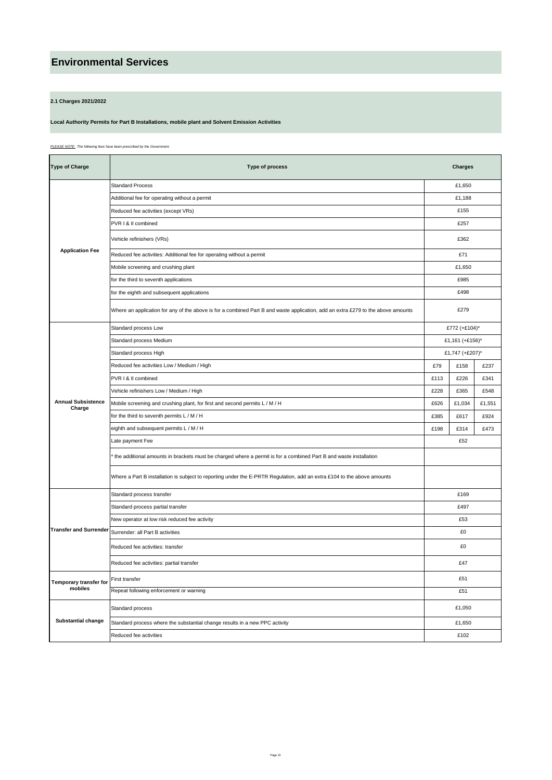#### **2.1 Charges 2021/2022**

#### **Local Authority Permits for Part B Installations, mobile plant and Solvent Emission Activities**

*PLEASE NOTE: The following fees have been prescribed by the Government.*

| <b>Type of Charge</b>               | Type of process                                                                                                                  | <b>Charges</b> |                 |        |  |  |  |
|-------------------------------------|----------------------------------------------------------------------------------------------------------------------------------|----------------|-----------------|--------|--|--|--|
|                                     | <b>Standard Process</b>                                                                                                          |                | £1,650          |        |  |  |  |
|                                     | Additional fee for operating without a permit                                                                                    |                | £1,188          |        |  |  |  |
|                                     | Reduced fee activities (except VRs)                                                                                              |                | £155            |        |  |  |  |
|                                     | PVR I & II combined                                                                                                              | £257           |                 |        |  |  |  |
|                                     | Vehicle refinishers (VRs)                                                                                                        |                | £362            |        |  |  |  |
| <b>Application Fee</b>              | Reduced fee activities: Additional fee for operating without a permit                                                            |                | £71             |        |  |  |  |
|                                     | Mobile screening and crushing plant                                                                                              |                | £1,650          |        |  |  |  |
|                                     | for the third to seventh applications                                                                                            |                | £985            |        |  |  |  |
|                                     | for the eighth and subsequent applications                                                                                       |                | £498            |        |  |  |  |
|                                     | Where an application for any of the above is for a combined Part B and waste application, add an extra £279 to the above amounts |                | £279            |        |  |  |  |
|                                     | Standard process Low                                                                                                             |                | £772 (+£104)*   |        |  |  |  |
|                                     | Standard process Medium                                                                                                          |                | £1,161 (+£156)* |        |  |  |  |
|                                     | Standard process High                                                                                                            |                | £1,747 (+£207)* |        |  |  |  |
|                                     | Reduced fee activities Low / Medium / High                                                                                       | £79            | £158            | £237   |  |  |  |
|                                     | PVR I & II combined                                                                                                              | £113           | £226            | £341   |  |  |  |
|                                     | Vehicle refinishers Low / Medium / High                                                                                          | £228           | £365            | £548   |  |  |  |
| <b>Annual Subsistence</b><br>Charge | Mobile screening and crushing plant, for first and second permits L / M / H                                                      | £626           | £1,034          | £1,551 |  |  |  |
|                                     | for the third to seventh permits L / M / H                                                                                       | £385           | £617            | £924   |  |  |  |
|                                     | eighth and subsequent permits L / M / H                                                                                          | £198           | £314            | £473   |  |  |  |
|                                     | Late payment Fee                                                                                                                 |                |                 |        |  |  |  |
|                                     | the additional amounts in brackets must be charged where a permit is for a combined Part B and waste installation                |                |                 |        |  |  |  |
|                                     | Where a Part B installation is subject to reporting under the E-PRTR Regulation, add an extra £104 to the above amounts          |                |                 |        |  |  |  |
|                                     | Standard process transfer                                                                                                        |                | £169            |        |  |  |  |
|                                     | Standard process partial transfer                                                                                                |                | £497            |        |  |  |  |
|                                     | New operator at low risk reduced fee activity                                                                                    |                | £53             |        |  |  |  |
| <b>Transfer and Surrender</b>       | Surrender: all Part B activities                                                                                                 |                | £0              |        |  |  |  |
|                                     | Reduced fee activities: transfer                                                                                                 |                | £0              |        |  |  |  |
|                                     | Reduced fee activities: partial transfer                                                                                         |                | £47             |        |  |  |  |
| <b>Temporary transfer for</b>       | First transfer                                                                                                                   |                | £51             |        |  |  |  |
| mobiles                             | Repeat following enforcement or warning                                                                                          |                | £51             |        |  |  |  |
|                                     | Standard process                                                                                                                 |                | £1,050          |        |  |  |  |
| <b>Substantial change</b>           | Standard process where the substantial change results in a new PPC activity                                                      |                | £1,650          |        |  |  |  |
|                                     | Reduced fee activities                                                                                                           |                | £102            |        |  |  |  |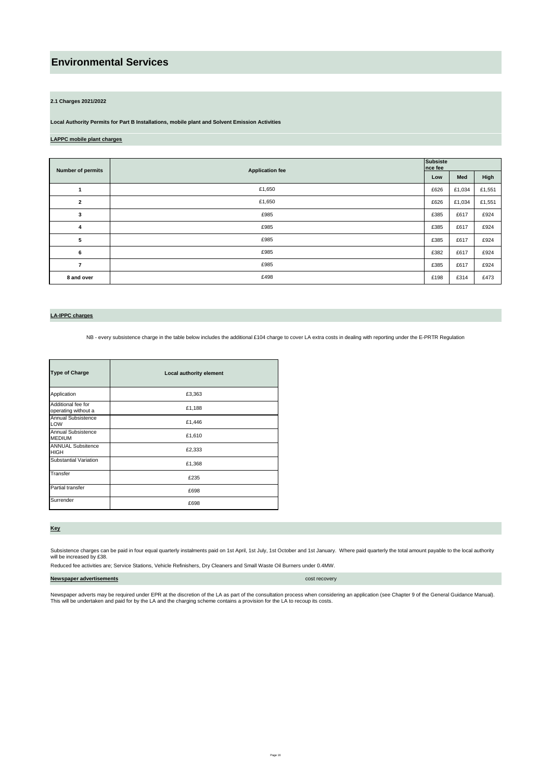#### **2.1 Charges 2021/2022**

**Local Authority Permits for Part B Installations, mobile plant and Solvent Emission Activities**

#### **LAPPC mobile plant charges**

| Number of permits       | <b>Application fee</b> | <b>Subsiste</b><br>nce fee |        |        |  |  |
|-------------------------|------------------------|----------------------------|--------|--------|--|--|
|                         |                        | Low                        | Med    | High   |  |  |
|                         | £1,650                 | £626                       | £1,034 | £1,551 |  |  |
| $\overline{\mathbf{c}}$ | £1,650                 | £626                       | £1,034 | £1,551 |  |  |
| 3                       | £985                   | £385                       | £617   | £924   |  |  |
| 4                       | £985                   | £385                       | £617   | £924   |  |  |
| 5                       | £985                   | £385                       | £617   | £924   |  |  |
| 6                       | £985                   | £382                       | £617   | £924   |  |  |
| $\overline{7}$          | £985                   | £385                       | £617   | £924   |  |  |
| 8 and over              | £498                   | £198                       | £314   | £473   |  |  |

#### **LA-IPPC charges**

NB - every subsistence charge in the table below includes the additional £104 charge to cover LA extra costs in dealing with reporting under the E-PRTR Regulation

| <b>Type of Charge</b>                     | Local authority element |
|-------------------------------------------|-------------------------|
| Application                               | £3,363                  |
| Additional fee for<br>operating without a | £1,188                  |
| Annual Subsistence<br>LOW                 | £1,446                  |
| Annual Subsistence<br><b>MEDIUM</b>       | £1,610                  |
| <b>ANNUAL Subsitence</b><br><b>HIGH</b>   | £2,333                  |
| Substantial Variation                     | £1,368                  |
| Transfer                                  | £235                    |
| Partial transfer                          | £698                    |
| Surrender                                 | £698                    |

**Key**

Subsistence charges can be paid in four equal quarterly instalments paid on 1st April, 1st July, 1st October and 1st January. Where paid quarterly the total amount payable to the local authority<br>will be increased by £38.

Reduced fee activities are; Service Stations, Vehicle Refinishers, Dry Cleaners and Small Waste Oil Burners under 0.4MW.

**Newspaper advertisements cost recovery** 

Newspaper adverts may be required under EPR at the discretion of the LA as part of the consultation process when considering an application (see Chapter 9 of the General Guidance Manual).<br>This will be undertaken and paid f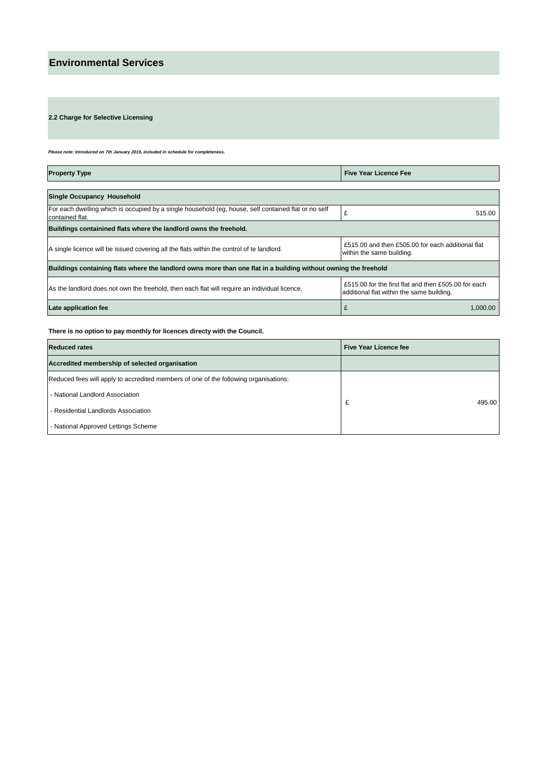**2.2 Charge for Selective Licensing** 

*Please note: Introduced on 7th January 2019, included in schedule for completeness.* 

| <b>Property Type</b>                                                                                                                                                        | <b>Five Year Licence Fee</b>                                                                      |  |  |  |  |
|-----------------------------------------------------------------------------------------------------------------------------------------------------------------------------|---------------------------------------------------------------------------------------------------|--|--|--|--|
|                                                                                                                                                                             |                                                                                                   |  |  |  |  |
| <b>Single Occupancy Household</b>                                                                                                                                           |                                                                                                   |  |  |  |  |
| For each dwelling which is occupied by a single household (eg, house, self contained flat or no self<br>contained flat.                                                     | £<br>515.00                                                                                       |  |  |  |  |
| Buildings containined flats where the landlord owns the freehold.                                                                                                           |                                                                                                   |  |  |  |  |
| £515.00 and then £505.00 for each additional flat<br>A single licence will be issued covering all the flats within the control of te landlord.<br>within the same building. |                                                                                                   |  |  |  |  |
| Buildings containing flats where the landlord owns more than one flat in a building without owning the freehold                                                             |                                                                                                   |  |  |  |  |
| As the landlord does not own the freehold, then each flat will require an individual licence.                                                                               | £515.00 for the first flat and then £505.00 for each<br>additional flat within the same building. |  |  |  |  |
| Late application fee                                                                                                                                                        | £<br>1,000.00                                                                                     |  |  |  |  |

### **There is no option to pay monthly for licences directy with the Council.**

| <b>Reduced rates</b>                                                                 | Five Year Licence fee |
|--------------------------------------------------------------------------------------|-----------------------|
| Accredited membership of selected organisation                                       |                       |
| Reduced fees will apply to accredited members of one of the following organisations: |                       |
| - National Landlord Association                                                      |                       |
| - Residential Landlords Association                                                  | 495.00<br>£           |
| - National Approved Lettings Scheme                                                  |                       |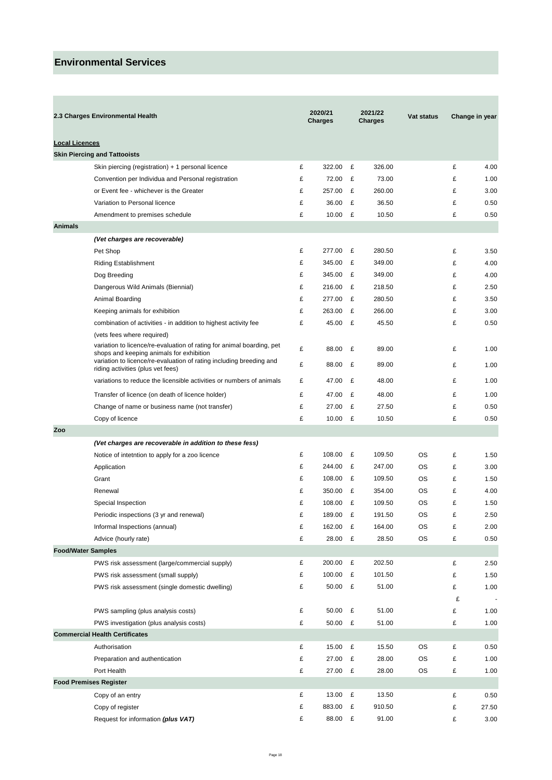|                       | 2.3 Charges Environmental Health                                                                                  |   | 2020/21<br>Charges |   | 2021/22<br><b>Charges</b> | <b>Vat status</b> |   | Change in year |
|-----------------------|-------------------------------------------------------------------------------------------------------------------|---|--------------------|---|---------------------------|-------------------|---|----------------|
| <b>Local Licences</b> |                                                                                                                   |   |                    |   |                           |                   |   |                |
|                       | <b>Skin Piercing and Tattooists</b>                                                                               |   |                    |   |                           |                   |   |                |
|                       | Skin piercing (registration) + 1 personal licence                                                                 | £ | 322.00             | £ | 326.00                    |                   | £ | 4.00           |
|                       | Convention per Individua and Personal registration                                                                | £ | 72.00              | £ | 73.00                     |                   | £ | 1.00           |
|                       | or Event fee - whichever is the Greater                                                                           | £ | 257.00             | £ | 260.00                    |                   | £ | 3.00           |
|                       | Variation to Personal licence                                                                                     | £ | 36.00              | £ | 36.50                     |                   | £ | 0.50           |
|                       | Amendment to premises schedule                                                                                    | £ | 10.00              | £ | 10.50                     |                   | £ | 0.50           |
| <b>Animals</b>        |                                                                                                                   |   |                    |   |                           |                   |   |                |
|                       | (Vet charges are recoverable)                                                                                     |   |                    |   |                           |                   |   |                |
|                       | Pet Shop                                                                                                          | £ | 277.00             | £ | 280.50                    |                   | £ | 3.50           |
|                       | <b>Riding Establishment</b>                                                                                       | £ | 345.00             | £ | 349.00                    |                   | £ | 4.00           |
|                       | Dog Breeding                                                                                                      | £ | 345.00             | £ | 349.00                    |                   | £ | 4.00           |
|                       | Dangerous Wild Animals (Biennial)                                                                                 | £ | 216.00             | £ | 218.50                    |                   | £ | 2.50           |
|                       | Animal Boarding                                                                                                   | £ | 277.00             | £ | 280.50                    |                   | £ | 3.50           |
|                       | Keeping animals for exhibition                                                                                    | £ | 263.00             | £ | 266.00                    |                   | £ | 3.00           |
|                       | combination of activities - in addition to highest activity fee                                                   | £ | 45.00              | £ | 45.50                     |                   | £ | 0.50           |
|                       | (vets fees where required)                                                                                        |   |                    |   |                           |                   |   |                |
|                       | variation to licence/re-evaluation of rating for animal boarding, pet<br>shops and keeping animals for exhibition | £ | 88.00              | £ | 89.00                     |                   | £ | 1.00           |
|                       | variation to licence/re-evaluation of rating including breeding and<br>riding activities (plus vet fees)          | £ | 88.00              | £ | 89.00                     |                   | £ | 1.00           |
|                       | variations to reduce the licensible activities or numbers of animals                                              | £ | 47.00              | £ | 48.00                     |                   | £ | 1.00           |
|                       | Transfer of licence (on death of licence holder)                                                                  | £ | 47.00              | £ | 48.00                     |                   | £ | 1.00           |
|                       | Change of name or business name (not transfer)                                                                    | £ | 27.00              | £ | 27.50                     |                   | £ | 0.50           |
|                       | Copy of licence                                                                                                   | £ | 10.00 $E$          |   | 10.50                     |                   | £ | 0.50           |
| Zoo                   |                                                                                                                   |   |                    |   |                           |                   |   |                |
|                       | (Vet charges are recoverable in addition to these fess)                                                           |   |                    |   |                           |                   |   |                |
|                       | Notice of intetntion to apply for a zoo licence                                                                   | £ | 108.00             | £ | 109.50                    | OS                | £ | 1.50           |
|                       | Application                                                                                                       | £ | 244.00             | £ | 247.00                    | OS                | £ | 3.00           |
|                       | Grant                                                                                                             | £ | 108.00             | £ | 109.50                    | OS                | £ | 1.50           |
|                       | Renewal                                                                                                           | £ | 350.00             | £ | 354.00                    | OS                | £ | 4.00           |
|                       | Special Inspection                                                                                                | £ | 108.00             | £ | 109.50                    | OS                | £ | 1.50           |
|                       | Periodic inspections (3 yr and renewal)                                                                           | £ | 189.00 £           |   | 191.50                    | OS                | £ | 2.50           |
|                       | Informal Inspections (annual)                                                                                     | £ | 162.00             | £ | 164.00                    | OS                | £ | 2.00           |
|                       | Advice (hourly rate)                                                                                              | £ | 28.00 £            |   | 28.50                     | OS                | £ | 0.50           |
|                       | <b>Food/Water Samples</b>                                                                                         |   |                    |   |                           |                   |   |                |
|                       | PWS risk assessment (large/commercial supply)                                                                     | £ | 200.00             | £ | 202.50                    |                   | £ | 2.50           |
|                       | PWS risk assessment (small supply)                                                                                | £ | 100.00             | £ | 101.50                    |                   | £ | 1.50           |
|                       | PWS risk assessment (single domestic dwelling)                                                                    | £ | 50.00 £            |   | 51.00                     |                   | £ | 1.00           |
|                       |                                                                                                                   |   |                    |   |                           |                   | £ |                |
|                       | PWS sampling (plus analysis costs)                                                                                | £ | 50.00              | £ | 51.00                     |                   | £ | 1.00           |
|                       | PWS investigation (plus analysis costs)                                                                           | £ | 50.00 £            |   | 51.00                     |                   | £ | 1.00           |
|                       | <b>Commercial Health Certificates</b>                                                                             |   |                    |   |                           |                   |   |                |
|                       | Authorisation                                                                                                     | £ | 15.00              | £ | 15.50                     | OS                | £ | 0.50           |
|                       | Preparation and authentication                                                                                    | £ | 27.00              | £ | 28.00                     | OS                | £ | 1.00           |
|                       | Port Health                                                                                                       | £ | 27.00              | £ | 28.00                     | OS                | £ | 1.00           |
|                       | <b>Food Premises Register</b>                                                                                     |   |                    |   |                           |                   |   |                |
|                       | Copy of an entry                                                                                                  | £ | 13.00              | £ | 13.50                     |                   | £ | 0.50           |
|                       | Copy of register                                                                                                  | £ | 883.00             | £ | 910.50                    |                   | £ | 27.50          |
|                       | Request for information (plus VAT)                                                                                | £ | 88.00 £            |   | 91.00                     |                   | £ | 3.00           |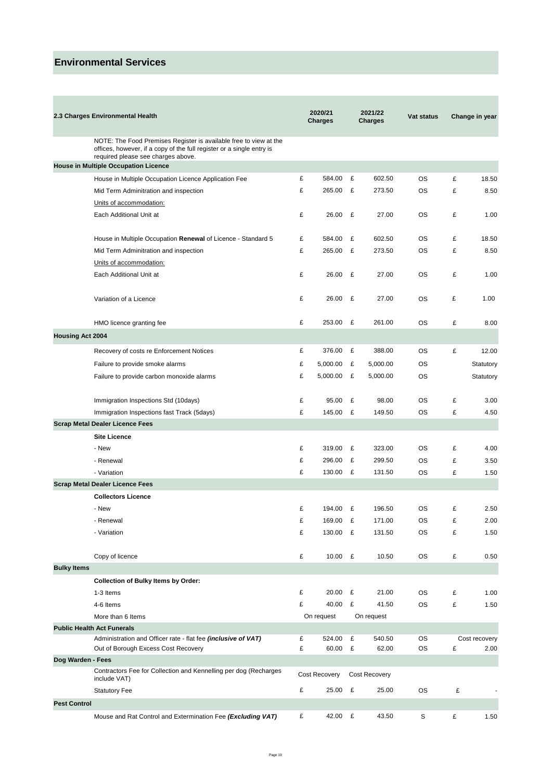×

|                         | 2.3 Charges Environmental Health                                                                                                                                                 |   | 2020/21<br>Charges |   | 2021/22<br><b>Charges</b> | <b>Vat status</b> |   | Change in year |
|-------------------------|----------------------------------------------------------------------------------------------------------------------------------------------------------------------------------|---|--------------------|---|---------------------------|-------------------|---|----------------|
|                         | NOTE: The Food Premises Register is available free to view at the<br>offices, however, if a copy of the full register or a single entry is<br>required please see charges above. |   |                    |   |                           |                   |   |                |
|                         | House in Multiple Occupation Licence                                                                                                                                             |   |                    |   |                           |                   |   |                |
|                         | House in Multiple Occupation Licence Application Fee                                                                                                                             | £ | 584.00             | £ | 602.50                    | OS                | £ | 18.50          |
|                         | Mid Term Adminitration and inspection                                                                                                                                            | £ | 265.00             | £ | 273.50                    | <b>OS</b>         | £ | 8.50           |
|                         | Units of accommodation:                                                                                                                                                          |   |                    |   |                           |                   |   |                |
|                         | Each Additional Unit at                                                                                                                                                          | £ | 26.00              | £ | 27.00                     | OS                | £ | 1.00           |
|                         | House in Multiple Occupation Renewal of Licence - Standard 5                                                                                                                     | £ | 584.00             | £ | 602.50                    | <b>OS</b>         | £ | 18.50          |
|                         | Mid Term Adminitration and inspection                                                                                                                                            | £ | 265.00             | £ | 273.50                    | <b>OS</b>         | £ | 8.50           |
|                         | Units of accommodation:                                                                                                                                                          |   |                    |   |                           |                   |   |                |
|                         | Each Additional Unit at                                                                                                                                                          | £ | 26.00              | £ | 27.00                     | <b>OS</b>         | £ | 1.00           |
|                         | Variation of a Licence                                                                                                                                                           | £ | 26.00              | £ | 27.00                     | <b>OS</b>         | £ | 1.00           |
|                         | HMO licence granting fee                                                                                                                                                         | £ | 253.00 £           |   | 261.00                    | <b>OS</b>         | £ | 8.00           |
| <b>Housing Act 2004</b> |                                                                                                                                                                                  |   |                    |   |                           |                   |   |                |
|                         | Recovery of costs re Enforcement Notices                                                                                                                                         | £ | 376.00             | £ | 388.00                    | <b>OS</b>         | £ | 12.00          |
|                         | Failure to provide smoke alarms                                                                                                                                                  | £ | 5,000.00           | £ | 5,000.00                  | <b>OS</b>         |   | Statutory      |
|                         | Failure to provide carbon monoxide alarms                                                                                                                                        | £ | 5,000.00           | £ | 5,000.00                  | OS                |   | Statutory      |
|                         | Immigration Inspections Std (10days)                                                                                                                                             | £ | 95.00              | £ | 98.00                     | <b>OS</b>         | £ | 3.00           |
|                         | Immigration Inspections fast Track (5days)                                                                                                                                       | £ | 145.00             | £ | 149.50                    | <b>OS</b>         | £ | 4.50           |
|                         | <b>Scrap Metal Dealer Licence Fees</b>                                                                                                                                           |   |                    |   |                           |                   |   |                |
|                         | <b>Site Licence</b>                                                                                                                                                              |   |                    |   |                           |                   |   |                |
|                         | - New                                                                                                                                                                            | £ | 319.00             | £ | 323.00                    | <b>OS</b>         | £ | 4.00           |
|                         | - Renewal                                                                                                                                                                        | £ | 296.00             | £ | 299.50                    | <b>OS</b>         | £ | 3.50           |
|                         | - Variation                                                                                                                                                                      | £ | 130.00 £           |   | 131.50                    | <b>OS</b>         | £ | 1.50           |
|                         | <b>Scrap Metal Dealer Licence Fees</b>                                                                                                                                           |   |                    |   |                           |                   |   |                |
|                         | <b>Collectors Licence</b>                                                                                                                                                        |   |                    |   |                           |                   |   |                |
|                         | - New                                                                                                                                                                            | £ | 194.00 £           |   | 196.50                    | <b>OS</b>         | £ | 2.50           |
|                         | - Renewal                                                                                                                                                                        | £ | 169.00 £           |   | 171.00                    | OS                | £ | 2.00           |
|                         | - Variation                                                                                                                                                                      | £ | 130.00 £           |   | 131.50                    | <b>OS</b>         | £ | 1.50           |
|                         | Copy of licence                                                                                                                                                                  | £ | 10.00 $E$          |   | 10.50                     | <b>OS</b>         | £ | 0.50           |
| <b>Bulky Items</b>      |                                                                                                                                                                                  |   |                    |   |                           |                   |   |                |
|                         | <b>Collection of Bulky Items by Order:</b>                                                                                                                                       |   |                    |   |                           |                   |   |                |
|                         | 1-3 Items                                                                                                                                                                        | £ | 20.00 £            |   | 21.00                     | OS                | £ | 1.00           |
|                         | 4-6 Items                                                                                                                                                                        | £ | 40.00 £            |   | 41.50                     | <b>OS</b>         | £ | 1.50           |
|                         | More than 6 Items                                                                                                                                                                |   | On request         |   | On request                |                   |   |                |
|                         | <b>Public Health Act Funerals</b>                                                                                                                                                |   |                    |   |                           |                   |   |                |
|                         | Administration and Officer rate - flat fee (inclusive of VAT)                                                                                                                    | £ | 524.00             | £ | 540.50                    | <b>OS</b>         |   | Cost recovery  |
|                         | Out of Borough Excess Cost Recovery                                                                                                                                              | £ | 60.00              | £ | 62.00                     | <b>OS</b>         | £ | 2.00           |
| Dog Warden - Fees       |                                                                                                                                                                                  |   |                    |   |                           |                   |   |                |
|                         | Contractors Fee for Collection and Kennelling per dog (Recharges<br>include VAT)                                                                                                 |   | Cost Recovery      |   | Cost Recovery             |                   |   |                |
|                         | Statutory Fee                                                                                                                                                                    | £ | 25.00 £            |   | 25.00                     | <b>OS</b>         | £ |                |
| <b>Pest Control</b>     |                                                                                                                                                                                  |   |                    |   |                           |                   |   |                |
|                         | Mouse and Rat Control and Extermination Fee (Excluding VAT)                                                                                                                      | £ | 42.00 £            |   | 43.50                     | S                 | £ | 1.50           |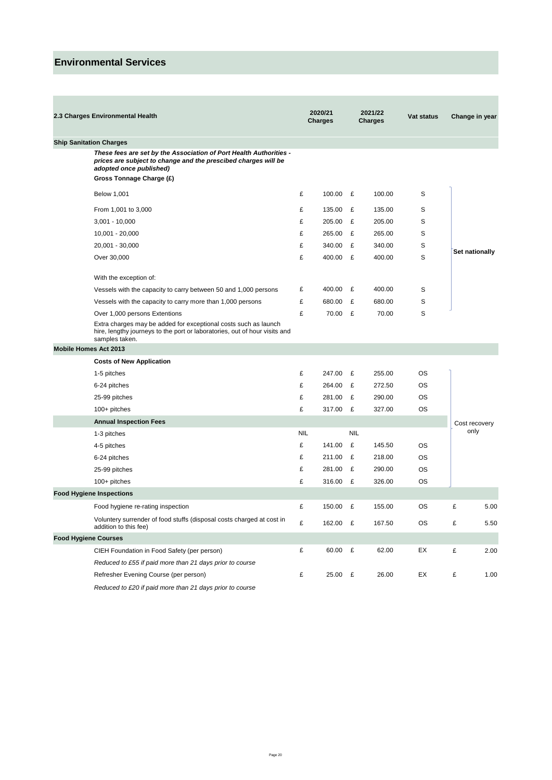| 2.3 Charges Environmental Health                                                                                                                                                            | 2020/21<br>2021/22<br><b>Charges</b><br><b>Charges</b> |          | Vat status |        | Change in year |   |                |
|---------------------------------------------------------------------------------------------------------------------------------------------------------------------------------------------|--------------------------------------------------------|----------|------------|--------|----------------|---|----------------|
| <b>Ship Sanitation Charges</b>                                                                                                                                                              |                                                        |          |            |        |                |   |                |
| These fees are set by the Association of Port Health Authorities -<br>prices are subject to change and the prescibed charges will be<br>adopted once published)<br>Gross Tonnage Charge (£) |                                                        |          |            |        |                |   |                |
|                                                                                                                                                                                             |                                                        |          |            |        |                |   |                |
| Below 1,001                                                                                                                                                                                 | £                                                      | 100.00 £ |            | 100.00 | S              |   |                |
| From 1,001 to 3,000                                                                                                                                                                         | £                                                      | 135.00   | £          | 135.00 | S              |   |                |
| $3,001 - 10,000$                                                                                                                                                                            | £                                                      | 205.00   | £          | 205.00 | S              |   |                |
| 10,001 - 20,000                                                                                                                                                                             | £                                                      | 265.00   | £          | 265.00 | S              |   |                |
| 20,001 - 30,000                                                                                                                                                                             | £                                                      | 340.00   | £          | 340.00 | S              |   | Set nationally |
| Over 30,000                                                                                                                                                                                 | £                                                      | 400.00 £ |            | 400.00 | S              |   |                |
| With the exception of:                                                                                                                                                                      |                                                        |          |            |        |                |   |                |
| Vessels with the capacity to carry between 50 and 1,000 persons                                                                                                                             | £                                                      | 400.00   | £          | 400.00 | S              |   |                |
| Vessels with the capacity to carry more than 1,000 persons                                                                                                                                  | £                                                      | 680.00   | £          | 680.00 | S              |   |                |
| Over 1,000 persons Extentions                                                                                                                                                               | £                                                      | 70.00 £  |            | 70.00  | S              |   |                |
| Extra charges may be added for exceptional costs such as launch<br>hire, lengthy journeys to the port or laboratories, out of hour visits and<br>samples taken.                             |                                                        |          |            |        |                |   |                |
| Mobile Homes Act 2013                                                                                                                                                                       |                                                        |          |            |        |                |   |                |
| <b>Costs of New Application</b>                                                                                                                                                             |                                                        |          |            |        |                |   |                |
| 1-5 pitches                                                                                                                                                                                 | £                                                      | 247.00   | £          | 255.00 | <b>OS</b>      |   |                |
| 6-24 pitches                                                                                                                                                                                | £                                                      | 264.00   | £          | 272.50 | OS             |   |                |
| 25-99 pitches                                                                                                                                                                               | £                                                      | 281.00   | £          | 290.00 | OS             |   |                |
| 100+ pitches                                                                                                                                                                                | £                                                      | 317.00   | £          | 327.00 | <b>OS</b>      |   |                |
| <b>Annual Inspection Fees</b>                                                                                                                                                               |                                                        |          |            |        |                |   | Cost recovery  |
| 1-3 pitches                                                                                                                                                                                 | <b>NIL</b>                                             |          | <b>NIL</b> |        |                |   | only           |
| 4-5 pitches                                                                                                                                                                                 | £                                                      | 141.00   | £          | 145.50 | OS             |   |                |
| 6-24 pitches                                                                                                                                                                                | £                                                      | 211.00   | £          | 218.00 | OS             |   |                |
| 25-99 pitches                                                                                                                                                                               | £                                                      | 281.00   | £          | 290.00 | OS             |   |                |
| 100+ pitches                                                                                                                                                                                | £                                                      | 316.00   | £          | 326.00 | OS             |   |                |
| <b>Food Hygiene Inspections</b>                                                                                                                                                             |                                                        |          |            |        |                |   |                |
| Food hygiene re-rating inspection                                                                                                                                                           | £                                                      | 150.00   | £          | 155.00 | ОS             | £ | 5.00           |
| Voluntery surrender of food stuffs (disposal costs charged at cost in<br>addition to this fee)                                                                                              | £                                                      | 162.00 £ |            | 167.50 | OS             | £ | 5.50           |
| <b>Food Hygiene Courses</b>                                                                                                                                                                 |                                                        |          |            |        |                |   |                |
| CIEH Foundation in Food Safety (per person)                                                                                                                                                 | £                                                      | 60.00    | £          | 62.00  | EX             | £ | 2.00           |
| Reduced to £55 if paid more than 21 days prior to course                                                                                                                                    |                                                        |          |            |        |                |   |                |
| Refresher Evening Course (per person)                                                                                                                                                       | £                                                      | 25.00 £  |            | 26.00  | EX             | £ | 1.00           |
|                                                                                                                                                                                             |                                                        |          |            |        |                |   |                |

*Reduced to £20 if paid more than 21 days prior to course*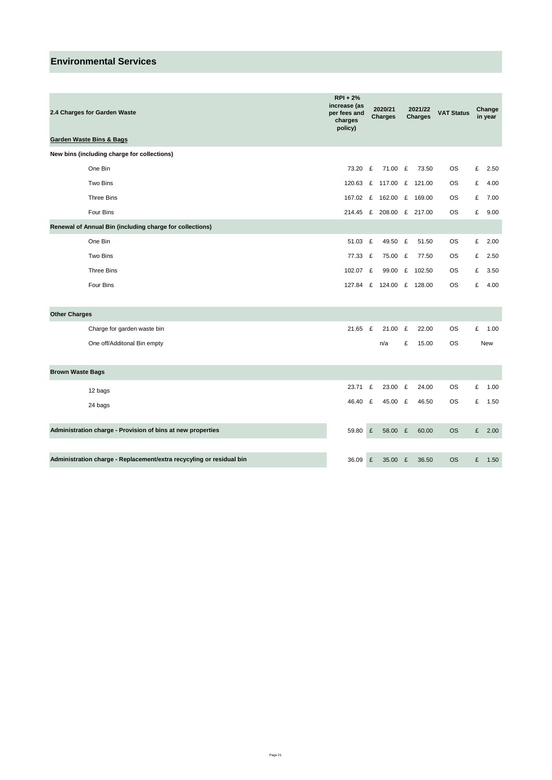| 2.4 Charges for Garden Waste                                         | <b>RPI + 2%</b><br>increase (as<br>per fees and<br>charges<br>policy) |   | 2020/21<br><b>Charges</b> |   |          |           | 2021/22<br><b>Charges</b> | <b>VAT Status</b> | Change<br>in year |  |
|----------------------------------------------------------------------|-----------------------------------------------------------------------|---|---------------------------|---|----------|-----------|---------------------------|-------------------|-------------------|--|
| <b>Garden Waste Bins &amp; Bags</b>                                  |                                                                       |   |                           |   |          |           |                           |                   |                   |  |
| New bins (including charge for collections)                          |                                                                       |   |                           |   |          |           |                           |                   |                   |  |
| One Bin                                                              | 73.20                                                                 | £ | 71.00 £                   |   | 73.50    | OS        | £                         | 2.50              |                   |  |
| <b>Two Bins</b>                                                      | 120.63                                                                | £ | 117.00                    | E | 121.00   | <b>OS</b> | £                         | 4.00              |                   |  |
| <b>Three Bins</b>                                                    | 167.02 £                                                              |   | 162.00 £ 169.00           |   |          | <b>OS</b> | £                         | 7.00              |                   |  |
| Four Bins                                                            |                                                                       |   | 214.45 £ 208.00 £ 217.00  |   |          | <b>OS</b> | £                         | 9.00              |                   |  |
| Renewal of Annual Bin (including charge for collections)             |                                                                       |   |                           |   |          |           |                           |                   |                   |  |
| One Bin                                                              | 51.03 £                                                               |   | 49.50                     | £ | 51.50    | <b>OS</b> | £                         | 2.00              |                   |  |
| Two Bins                                                             | 77.33 £                                                               |   | 75.00                     | £ | 77.50    | <b>OS</b> | £                         | 2.50              |                   |  |
| <b>Three Bins</b>                                                    | 102.07 £                                                              |   | 99.00                     |   | £ 102.50 | OS        | £                         | 3.50              |                   |  |
| Four Bins                                                            |                                                                       |   | 127.84 £ 124.00 £ 128.00  |   |          | <b>OS</b> | £                         | 4.00              |                   |  |
|                                                                      |                                                                       |   |                           |   |          |           |                           |                   |                   |  |
| <b>Other Charges</b>                                                 |                                                                       |   |                           |   |          |           |                           |                   |                   |  |
| Charge for garden waste bin                                          | $21.65$ £                                                             |   | 21.00                     | £ | 22.00    | <b>OS</b> | £                         | 1.00              |                   |  |
| One off/Additonal Bin empty                                          |                                                                       |   | n/a                       | £ | 15.00    | <b>OS</b> |                           | New               |                   |  |
|                                                                      |                                                                       |   |                           |   |          |           |                           |                   |                   |  |
| <b>Brown Waste Bags</b>                                              |                                                                       |   |                           |   |          |           |                           |                   |                   |  |
| 12 bags                                                              | 23.71                                                                 | £ | 23.00 £                   |   | 24.00    | OS        | £                         | 1.00              |                   |  |
| 24 bags                                                              | 46.40 £                                                               |   | 45.00 £                   |   | 46.50    | <b>OS</b> | £                         | 1.50              |                   |  |
|                                                                      |                                                                       |   |                           |   |          |           |                           |                   |                   |  |
| Administration charge - Provision of bins at new properties          | 59.80                                                                 | £ | 58.00 £                   |   | 60.00    | <b>OS</b> | £                         | 2.00              |                   |  |
|                                                                      |                                                                       |   |                           |   |          |           |                           |                   |                   |  |
| Administration charge - Replacement/extra recycyling or residual bin | 36.09                                                                 | £ | 35.00 £                   |   | 36.50    | <b>OS</b> | £                         | 1.50              |                   |  |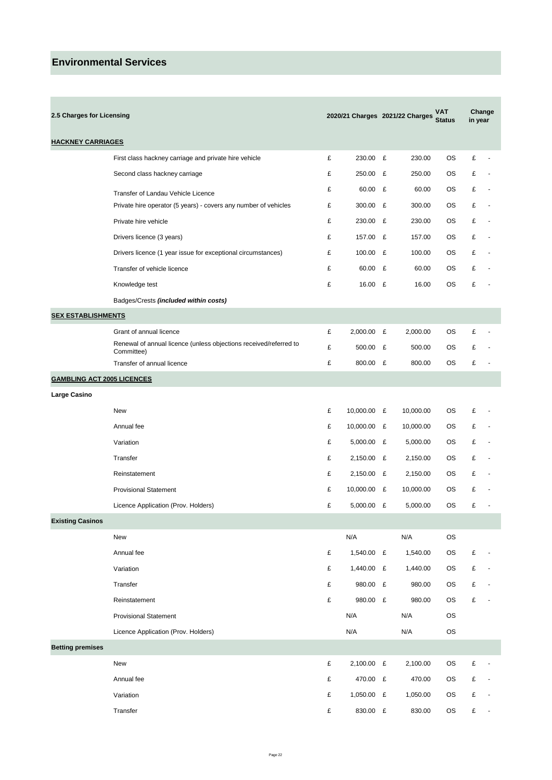$\sim$ 

|                                   | 2.5 Charges for Licensing                                                       |   |              |   | 2020/21 Charges 2021/22 Charges | VAT<br><b>Status</b> | in year   | Change                   |
|-----------------------------------|---------------------------------------------------------------------------------|---|--------------|---|---------------------------------|----------------------|-----------|--------------------------|
| <b>HACKNEY CARRIAGES</b>          |                                                                                 |   |              |   |                                 |                      |           |                          |
|                                   | First class hackney carriage and private hire vehicle                           | £ | 230.00 £     |   | 230.00                          | OS.                  | £         |                          |
|                                   | Second class hackney carriage                                                   | £ | 250.00       | £ | 250.00                          | ОS                   | £         |                          |
|                                   | Transfer of Landau Vehicle Licence                                              | £ | 60.00        | £ | 60.00                           | OS.                  | £         |                          |
|                                   | Private hire operator (5 years) - covers any number of vehicles                 | £ | 300.00 £     |   | 300.00                          | OS.                  | £         |                          |
|                                   | Private hire vehicle                                                            | £ | 230.00 £     |   | 230.00                          | ОS                   | £         |                          |
|                                   | Drivers licence (3 years)                                                       | £ | 157.00 £     |   | 157.00                          | ОS                   | £         |                          |
|                                   | Drivers licence (1 year issue for exceptional circumstances)                    | £ | 100.00 £     |   | 100.00                          | ОS                   | £         |                          |
|                                   | Transfer of vehicle licence                                                     | £ | 60.00        | £ | 60.00                           | ОS                   | £         |                          |
|                                   | Knowledge test                                                                  | £ | 16.00 £      |   | 16.00                           | OS.                  | £         |                          |
|                                   | Badges/Crests (included within costs)                                           |   |              |   |                                 |                      |           |                          |
| <b>SEX ESTABLISHMENTS</b>         |                                                                                 |   |              |   |                                 |                      |           |                          |
|                                   | Grant of annual licence                                                         | £ | $2,000.00$ £ |   | 2,000.00                        | ОS                   | £         |                          |
|                                   | Renewal of annual licence (unless objections received/referred to<br>Committee) | £ | 500.00 £     |   | 500.00                          | ОS                   | £         |                          |
|                                   | Transfer of annual licence                                                      | £ | 800.00 £     |   | 800.00                          | ОS                   | £         |                          |
| <b>GAMBLING ACT 2005 LICENCES</b> |                                                                                 |   |              |   |                                 |                      |           |                          |
| Large Casino                      |                                                                                 |   |              |   |                                 |                      |           |                          |
|                                   | New                                                                             | £ | 10,000.00 £  |   | 10,000.00                       | ОS                   | £         |                          |
|                                   | Annual fee                                                                      | £ | 10,000.00 £  |   | 10,000.00                       | ОS                   | £         |                          |
|                                   | Variation                                                                       | £ | $5,000.00$ £ |   | 5,000.00                        | ОS                   | £         |                          |
|                                   | Transfer                                                                        | £ | 2,150.00 £   |   | 2,150.00                        | ОS                   | £         |                          |
|                                   | Reinstatement                                                                   | £ | 2,150.00 £   |   | 2,150.00                        | ОS                   | £         |                          |
|                                   | <b>Provisional Statement</b>                                                    | £ | 10,000.00 £  |   | 10,000.00                       | ОS                   | £         |                          |
|                                   | Licence Application (Prov. Holders)                                             | £ | $5,000.00$ £ |   | 5,000.00                        | ОS                   | £         |                          |
| <b>Existing Casinos</b>           |                                                                                 |   |              |   |                                 |                      |           |                          |
|                                   | New                                                                             |   | N/A          |   | N/A                             | <b>OS</b>            |           |                          |
|                                   | Annual fee                                                                      | £ | 1,540.00 £   |   | 1,540.00                        | OS                   | £         |                          |
|                                   | Variation                                                                       | £ | 1,440.00 £   |   | 1,440.00                        | OS                   | £         |                          |
|                                   | Transfer                                                                        | £ | 980.00 £     |   | 980.00                          | OS                   | £         |                          |
|                                   | Reinstatement                                                                   | £ | 980.00 £     |   | 980.00                          | OS                   | £         |                          |
|                                   | <b>Provisional Statement</b>                                                    |   | N/A          |   | N/A                             | OS                   |           |                          |
|                                   | Licence Application (Prov. Holders)                                             |   | N/A          |   | N/A                             | OS                   |           |                          |
| <b>Betting premises</b>           |                                                                                 |   |              |   |                                 |                      |           |                          |
|                                   | New                                                                             | £ | 2,100.00 £   |   | 2,100.00                        | OS                   | £         |                          |
|                                   | Annual fee                                                                      | £ | 470.00 £     |   | 470.00                          | OS                   | £         |                          |
|                                   | Variation                                                                       | £ | 1,050.00 £   |   | 1,050.00                        | OS                   | £         |                          |
|                                   | Transfer                                                                        | £ | 830.00 £     |   | 830.00                          | OS                   | $\pounds$ | $\overline{\phantom{a}}$ |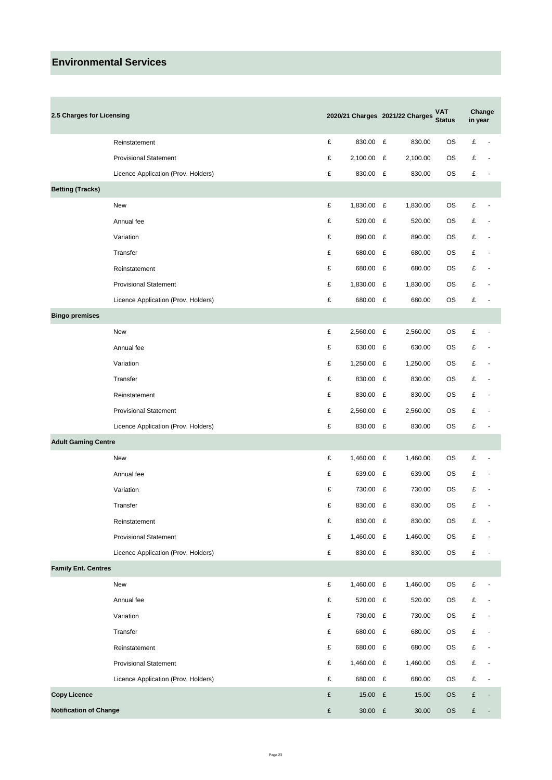| 2.5 Charges for Licensing     |                                     |   |              |   | 2020/21 Charges 2021/22 Charges | <b>VAT</b><br><b>Status</b> | in year   | Change                   |
|-------------------------------|-------------------------------------|---|--------------|---|---------------------------------|-----------------------------|-----------|--------------------------|
|                               | Reinstatement                       | £ | 830.00 £     |   | 830.00                          | <b>OS</b>                   | £         | $\blacksquare$           |
|                               | <b>Provisional Statement</b>        | £ | $2,100.00$ £ |   | 2,100.00                        | ОS                          | £         |                          |
|                               | Licence Application (Prov. Holders) | £ | 830.00 £     |   | 830.00                          | OS                          | £         | $\overline{\phantom{a}}$ |
| <b>Betting (Tracks)</b>       |                                     |   |              |   |                                 |                             |           |                          |
|                               | New                                 | £ | 1,830.00 £   |   | 1,830.00                        | ОS                          | £         |                          |
|                               | Annual fee                          | £ | 520.00 £     |   | 520.00                          | ОS                          | £         |                          |
|                               | Variation                           | £ | 890.00 £     |   | 890.00                          | ОS                          | £         |                          |
|                               | Transfer                            | £ | 680.00 £     |   | 680.00                          | ОS                          | £         |                          |
|                               | Reinstatement                       | £ | 680.00 £     |   | 680.00                          | ОS                          | £         |                          |
|                               | <b>Provisional Statement</b>        | £ | 1,830.00 £   |   | 1,830.00                        | ОS                          | £         |                          |
|                               | Licence Application (Prov. Holders) | £ | 680.00 £     |   | 680.00                          | ОS                          | £         |                          |
| <b>Bingo premises</b>         |                                     |   |              |   |                                 |                             |           |                          |
|                               | New                                 | £ | 2,560.00 £   |   | 2,560.00                        | ОS                          | £         | ÷                        |
|                               | Annual fee                          | £ | 630.00 £     |   | 630.00                          | ОS                          | £         |                          |
|                               | Variation                           | £ | 1,250.00 £   |   | 1,250.00                        | OS                          | £         |                          |
|                               | Transfer                            | £ | 830.00 £     |   | 830.00                          | ОS                          | £         |                          |
|                               | Reinstatement                       | £ | 830.00       | £ | 830.00                          | ОS                          | £         |                          |
|                               | <b>Provisional Statement</b>        | £ | 2,560.00     | £ | 2,560.00                        | ОS                          | £         |                          |
|                               | Licence Application (Prov. Holders) | £ | 830.00 £     |   | 830.00                          | OS                          | £         | $\overline{\phantom{a}}$ |
| <b>Adult Gaming Centre</b>    |                                     |   |              |   |                                 |                             |           |                          |
|                               | New                                 | £ | 1,460.00 £   |   | 1,460.00                        | ОS                          | £         |                          |
|                               | Annual fee                          | £ | 639.00 £     |   | 639.00                          | ОS                          | £         |                          |
|                               | Variation                           | £ | 730.00       | £ | 730.00                          | ОS                          | £         |                          |
|                               | Transfer                            | £ | 830.00       | £ | 830.00                          | ОS                          | £         |                          |
|                               | Reinstatement                       | £ | 830.00 £     |   | 830.00                          | OS                          | £         | $\overline{\phantom{a}}$ |
|                               | <b>Provisional Statement</b>        | £ | 1,460.00 £   |   | 1,460.00                        | ОS                          | £         |                          |
|                               | Licence Application (Prov. Holders) | £ | 830.00 £     |   | 830.00                          | ОS                          | $\pounds$ | ÷,                       |
| <b>Family Ent. Centres</b>    |                                     |   |              |   |                                 |                             |           |                          |
|                               | New                                 | £ | 1,460.00 £   |   | 1,460.00                        | OS                          | £         |                          |
|                               | Annual fee                          | £ | 520.00 £     |   | 520.00                          | ОS                          | £         |                          |
|                               | Variation                           | £ | 730.00 £     |   | 730.00                          | ОS                          | £         |                          |
|                               | Transfer                            | £ | 680.00 £     |   | 680.00                          | ОS                          | $\pounds$ |                          |
|                               | Reinstatement                       | £ | 680.00 £     |   | 680.00                          | ОS                          | £         |                          |
|                               | <b>Provisional Statement</b>        | £ | 1,460.00 £   |   | 1,460.00                        | ОS                          | £         |                          |
|                               | Licence Application (Prov. Holders) | £ | 680.00 £     |   | 680.00                          | ОS                          | £         |                          |
| <b>Copy Licence</b>           |                                     | £ | 15.00        | E | 15.00                           | <b>OS</b>                   | £         |                          |
| <b>Notification of Change</b> |                                     | £ | 30.00 £      |   | 30.00                           | <b>OS</b>                   | £         | $\overline{\phantom{a}}$ |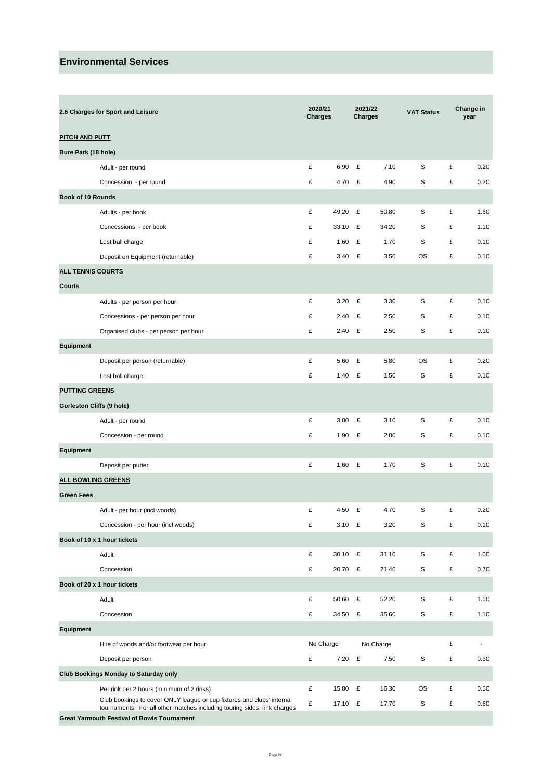|                           | 2.6 Charges for Sport and Leisure                                                                                                                  | 2020/21<br><b>Charges</b> |           |   | 2021/22<br><b>Charges</b> | <b>VAT Status</b> |   | Change in<br>year |
|---------------------------|----------------------------------------------------------------------------------------------------------------------------------------------------|---------------------------|-----------|---|---------------------------|-------------------|---|-------------------|
| <b>PITCH AND PUTT</b>     |                                                                                                                                                    |                           |           |   |                           |                   |   |                   |
| Bure Park (18 hole)       |                                                                                                                                                    |                           |           |   |                           |                   |   |                   |
|                           | Adult - per round                                                                                                                                  | £                         | 6.90      | £ | 7.10                      | S                 | £ | 0.20              |
|                           | Concession - per round                                                                                                                             | £                         | 4.70      | £ | 4.90                      | S                 | £ | 0.20              |
| <b>Book of 10 Rounds</b>  |                                                                                                                                                    |                           |           |   |                           |                   |   |                   |
|                           | Adults - per book                                                                                                                                  | £                         | 49.20     | £ | 50.80                     | S                 | £ | 1.60              |
|                           | Concessions - per book                                                                                                                             | £                         | 33.10     | £ | 34.20                     | S                 | £ | 1.10              |
|                           | Lost ball charge                                                                                                                                   | £                         | 1.60      | £ | 1.70                      | S                 | £ | 0.10              |
|                           | Deposit on Equipment (returnable)                                                                                                                  | £                         | 3.40      | £ | 3.50                      | ОS                | £ | 0.10              |
| <b>ALL TENNIS COURTS</b>  |                                                                                                                                                    |                           |           |   |                           |                   |   |                   |
| Courts                    |                                                                                                                                                    |                           |           |   |                           |                   |   |                   |
|                           | Adults - per person per hour                                                                                                                       | £                         | 3.20      | £ | 3.30                      | S                 | £ | 0.10              |
|                           | Concessions - per person per hour                                                                                                                  | £                         | 2.40      | £ | 2.50                      | S                 | £ | 0.10              |
|                           | Organised clubs - per person per hour                                                                                                              | £                         | 2.40      | £ | 2.50                      | S                 | £ | 0.10              |
| Equipment                 |                                                                                                                                                    |                           |           |   |                           |                   |   |                   |
|                           | Deposit per person (returnable)                                                                                                                    | £                         | 5.60      | £ | 5.80                      | <b>OS</b>         | £ | 0.20              |
|                           | Lost ball charge                                                                                                                                   | £                         | 1.40      | £ | 1.50                      | S                 | £ | 0.10              |
| <b>PUTTING GREENS</b>     |                                                                                                                                                    |                           |           |   |                           |                   |   |                   |
| Gorleston Cliffs (9 hole) |                                                                                                                                                    |                           |           |   |                           |                   |   |                   |
|                           | Adult - per round                                                                                                                                  | £                         | 3.00      | £ | 3.10                      | S                 | £ | 0.10              |
|                           | Concession - per round                                                                                                                             | £                         | 1.90      | £ | 2.00                      | S                 | £ | 0.10              |
| Equipment                 |                                                                                                                                                    |                           |           |   |                           |                   |   |                   |
|                           | Deposit per putter                                                                                                                                 | £                         | 1.60      | £ | 1.70                      | S                 | £ | 0.10              |
| ALL BOWLING GREENS        |                                                                                                                                                    |                           |           |   |                           |                   |   |                   |
| <b>Green Fees</b>         |                                                                                                                                                    |                           |           |   |                           |                   |   |                   |
|                           | Adult - per hour (incl woods)                                                                                                                      | £                         | 4.50      | £ | 4.70                      | S                 | £ | 0.20              |
|                           | Concession - per hour (incl woods)                                                                                                                 | £                         | 3.10 $E$  |   | 3.20                      | S                 | £ | 0.10              |
|                           | Book of 10 x 1 hour tickets                                                                                                                        |                           |           |   |                           |                   |   |                   |
|                           | Adult                                                                                                                                              | £                         | 30.10     | £ | 31.10                     | S                 | £ | 1.00              |
|                           | Concession                                                                                                                                         | £                         | 20.70     | £ | 21.40                     | S                 | £ | 0.70              |
|                           | Book of 20 x 1 hour tickets                                                                                                                        |                           |           |   |                           |                   |   |                   |
|                           | Adult                                                                                                                                              | £                         | 50.60     | £ | 52.20                     | S                 | £ | 1.60              |
|                           | Concession                                                                                                                                         | £                         | 34.50     | £ | 35.60                     | S                 | £ | 1.10              |
| Equipment                 |                                                                                                                                                    |                           |           |   |                           |                   |   |                   |
|                           | Hire of woods and/or footwear per hour                                                                                                             |                           | No Charge |   | No Charge                 |                   | £ | $\blacksquare$    |
|                           | Deposit per person                                                                                                                                 | £                         | $7.20$ £  |   | 7.50                      | S                 | £ | 0.30              |
|                           | <b>Club Bookings Monday to Saturday only</b>                                                                                                       |                           |           |   |                           |                   |   |                   |
|                           | Per rink per 2 hours (minimum of 2 rinks)                                                                                                          | £                         | 15.80     | E | 16.30                     | OS.               | £ | 0.50              |
|                           | Club bookings to cover ONLY league or cup fixtures and clubs' internal<br>tournaments. For all other matches including touring sides, rink charges | £                         | 17.10 £   |   | 17.70                     | S                 | £ | 0.60              |
|                           | <b>Great Yarmouth Festival of Bowls Tournament</b>                                                                                                 |                           |           |   |                           |                   |   |                   |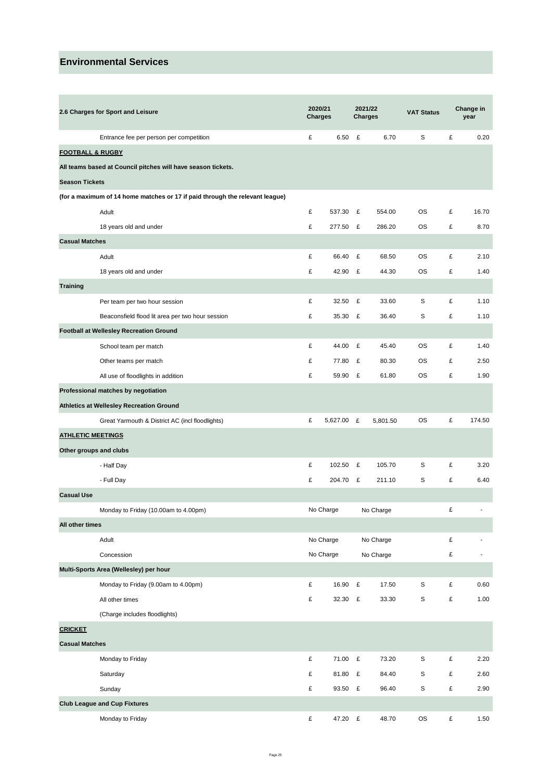| 2.6 Charges for Sport and Leisure                                            | 2020/21<br><b>Charges</b> |            | <b>Charges</b> | 2021/22   | <b>VAT Status</b> |   | Change in<br>year        |
|------------------------------------------------------------------------------|---------------------------|------------|----------------|-----------|-------------------|---|--------------------------|
| Entrance fee per person per competition                                      | £                         | 6.50       | £              | 6.70      | S                 | £ | 0.20                     |
| <b>FOOTBALL &amp; RUGBY</b>                                                  |                           |            |                |           |                   |   |                          |
| All teams based at Council pitches will have season tickets.                 |                           |            |                |           |                   |   |                          |
| <b>Season Tickets</b>                                                        |                           |            |                |           |                   |   |                          |
| (for a maximum of 14 home matches or 17 if paid through the relevant league) |                           |            |                |           |                   |   |                          |
| Adult                                                                        | £                         | 537.30 £   |                | 554.00    | OS                | £ | 16.70                    |
| 18 years old and under                                                       | £                         | 277.50 £   |                | 286.20    | ОS                | £ | 8.70                     |
| <b>Casual Matches</b>                                                        |                           |            |                |           |                   |   |                          |
| Adult                                                                        | £                         | 66.40      | £              | 68.50     | OS                | £ | 2.10                     |
| 18 years old and under                                                       | £                         | 42.90 £    |                | 44.30     | OS                | £ | 1.40                     |
| <b>Training</b>                                                              |                           |            |                |           |                   |   |                          |
| Per team per two hour session                                                | £                         | 32.50      | £              | 33.60     | S                 | £ | 1.10                     |
| Beaconsfield flood lit area per two hour session                             | £                         | 35.30 £    |                | 36.40     | S                 | £ | 1.10                     |
| <b>Football at Wellesley Recreation Ground</b>                               |                           |            |                |           |                   |   |                          |
| School team per match                                                        | £                         | 44.00      | £              | 45.40     | OS                | £ | 1.40                     |
| Other teams per match                                                        | £                         | 77.80      | £              | 80.30     | ОS                | £ | 2.50                     |
| All use of floodlights in addition                                           | £                         | 59.90 £    |                | 61.80     | OS                | £ | 1.90                     |
| Professional matches by negotiation                                          |                           |            |                |           |                   |   |                          |
| Athletics at Wellesley Recreation Ground                                     |                           |            |                |           |                   |   |                          |
| Great Yarmouth & District AC (incl floodlights)                              | £                         | 5,627.00 £ |                | 5,801.50  | OS                | £ | 174.50                   |
| <b>ATHLETIC MEETINGS</b>                                                     |                           |            |                |           |                   |   |                          |
| Other groups and clubs                                                       |                           |            |                |           |                   |   |                          |
| - Half Day                                                                   | £                         | 102.50     | £              | 105.70    | S                 | £ | 3.20                     |
| - Full Day                                                                   | £                         | 204.70 £   |                | 211.10    | s                 | £ | 6.40                     |
| <b>Casual Use</b>                                                            |                           |            |                |           |                   |   |                          |
| Monday to Friday (10.00am to 4.00pm)                                         |                           | No Charge  |                | No Charge |                   | £ |                          |
| All other times                                                              |                           |            |                |           |                   |   |                          |
| Adult                                                                        |                           | No Charge  |                | No Charge |                   | £ | $\overline{\phantom{a}}$ |
| Concession                                                                   |                           | No Charge  |                | No Charge |                   | £ |                          |
| Multi-Sports Area (Wellesley) per hour                                       |                           |            |                |           |                   |   |                          |
| Monday to Friday (9.00am to 4.00pm)                                          | £                         | 16.90 £    |                | 17.50     | S                 | £ | 0.60                     |
| All other times                                                              | £                         | 32.30 £    |                | 33.30     | $\mathsf S$       | £ | 1.00                     |
| (Charge includes floodlights)                                                |                           |            |                |           |                   |   |                          |
| <b>CRICKET</b>                                                               |                           |            |                |           |                   |   |                          |
| <b>Casual Matches</b>                                                        |                           |            |                |           |                   |   |                          |
| Monday to Friday                                                             | £                         | 71.00 £    |                | 73.20     | S                 | £ | 2.20                     |
| Saturday                                                                     | £                         | 81.80 £    |                | 84.40     | S                 | £ | 2.60                     |
| Sunday                                                                       | £                         | 93.50 £    |                | 96.40     | S                 | £ | 2.90                     |
| <b>Club League and Cup Fixtures</b>                                          |                           |            |                |           |                   |   |                          |
| Monday to Friday                                                             | £                         | 47.20 £    |                | 48.70     | <b>OS</b>         | £ | 1.50                     |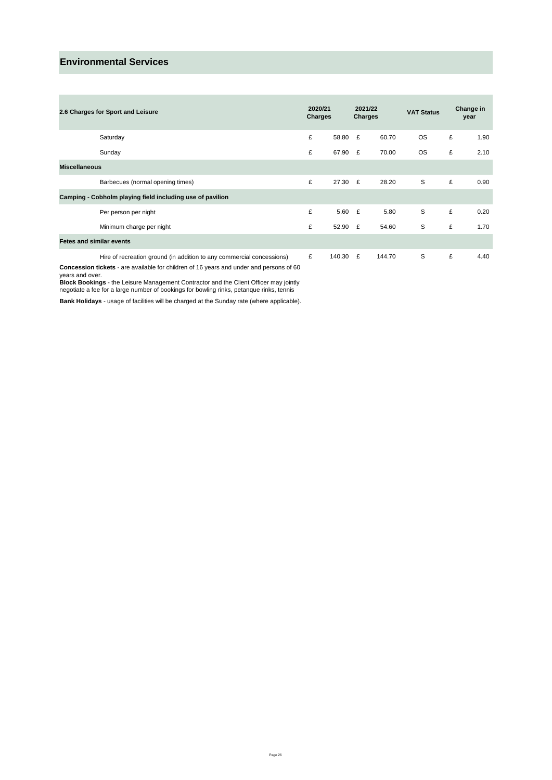| 2.6 Charges for Sport and Leisure |                                                                       | 2020/21<br>Charges |        | <b>Charges</b> | 2021/22 | <b>VAT Status</b> |   | Change in<br>year |
|-----------------------------------|-----------------------------------------------------------------------|--------------------|--------|----------------|---------|-------------------|---|-------------------|
|                                   | Saturday                                                              | £                  | 58.80  | £              | 60.70   | <b>OS</b>         | £ | 1.90              |
|                                   | Sunday                                                                | £                  | 67.90  | E              | 70.00   | <b>OS</b>         | £ | 2.10              |
| <b>Miscellaneous</b>              |                                                                       |                    |        |                |         |                   |   |                   |
|                                   | Barbecues (normal opening times)                                      | £                  | 27.30  | E              | 28.20   | S                 | £ | 0.90              |
|                                   | Camping - Cobholm playing field including use of pavilion             |                    |        |                |         |                   |   |                   |
|                                   | Per person per night                                                  | £                  | 5.60   | E              | 5.80    | S                 | £ | 0.20              |
|                                   | Minimum charge per night                                              | £                  | 52.90  | £              | 54.60   | S                 | £ | 1.70              |
| <b>Fetes and similar events</b>   |                                                                       |                    |        |                |         |                   |   |                   |
|                                   | Hire of recreation ground (in addition to any commercial concessions) | £                  | 140.30 | £              | 144.70  | S                 | £ | 4.40              |

**Concession tickets** - are available for children of 16 years and under and persons of 60

years and over.<br>**Block Bookings** - the Leisure Management Contractor and the Client Officer may jointly<br>negotiate a fee for a large number of bookings for bowling rinks, petanque rinks, tennis

**Bank Holidays** - usage of facilities will be charged at the Sunday rate (where applicable).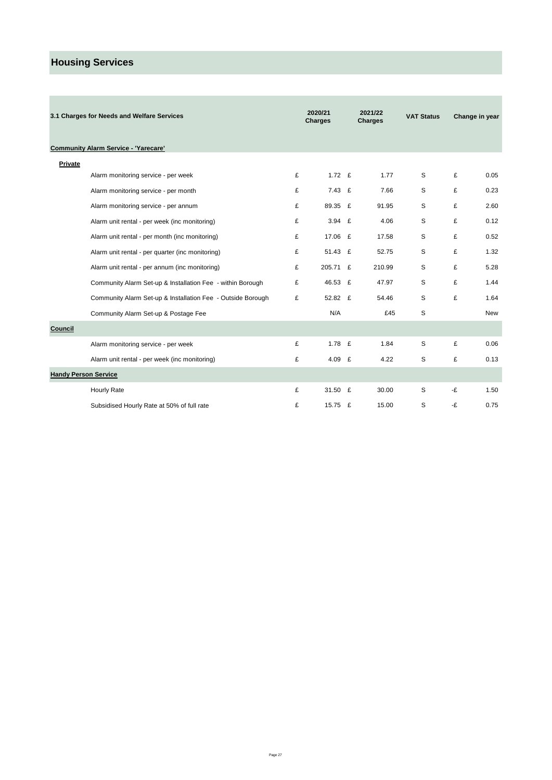# **Housing Services**

×

|                             | 3.1 Charges for Needs and Welfare Services                  |   | 2020/21<br>Charges |   | 2021/22<br><b>Charges</b> | <b>VAT Status</b> |    | Change in year |
|-----------------------------|-------------------------------------------------------------|---|--------------------|---|---------------------------|-------------------|----|----------------|
|                             | <b>Community Alarm Service - 'Yarecare'</b>                 |   |                    |   |                           |                   |    |                |
| <b>Private</b>              |                                                             |   |                    |   |                           |                   |    |                |
|                             | Alarm monitoring service - per week                         | £ | 1.72 $E$           |   | 1.77                      | S                 | £  | 0.05           |
|                             | Alarm monitoring service - per month                        | £ | 7.43               | £ | 7.66                      | S                 | £  | 0.23           |
|                             | Alarm monitoring service - per annum                        | £ | 89.35 £            |   | 91.95                     | S                 | £  | 2.60           |
|                             | Alarm unit rental - per week (inc monitoring)               | £ | 3.94 E             |   | 4.06                      | S                 | £  | 0.12           |
|                             | Alarm unit rental - per month (inc monitoring)              | £ | 17.06              | E | 17.58                     | S                 | £  | 0.52           |
|                             | Alarm unit rental - per quarter (inc monitoring)            | £ | 51.43 £            |   | 52.75                     | S                 | £  | 1.32           |
|                             | Alarm unit rental - per annum (inc monitoring)              | £ | 205.71 £           |   | 210.99                    | S                 | £  | 5.28           |
|                             | Community Alarm Set-up & Installation Fee - within Borough  | £ | 46.53 £            |   | 47.97                     | S                 | £  | 1.44           |
|                             | Community Alarm Set-up & Installation Fee - Outside Borough | £ | 52.82 £            |   | 54.46                     | S                 | £  | 1.64           |
|                             | Community Alarm Set-up & Postage Fee                        |   | N/A                |   | £45                       | S                 |    | <b>New</b>     |
| Council                     |                                                             |   |                    |   |                           |                   |    |                |
|                             | Alarm monitoring service - per week                         | £ | 1.78 $E$           |   | 1.84                      | S                 | £  | 0.06           |
|                             | Alarm unit rental - per week (inc monitoring)               | £ | 4.09 $E$           |   | 4.22                      | S                 | £  | 0.13           |
| <b>Handy Person Service</b> |                                                             |   |                    |   |                           |                   |    |                |
|                             | Hourly Rate                                                 | £ | 31.50              | £ | 30.00                     | S                 | -£ | 1.50           |
|                             | Subsidised Hourly Rate at 50% of full rate                  | £ | 15.75 £            |   | 15.00                     | S                 | -£ | 0.75           |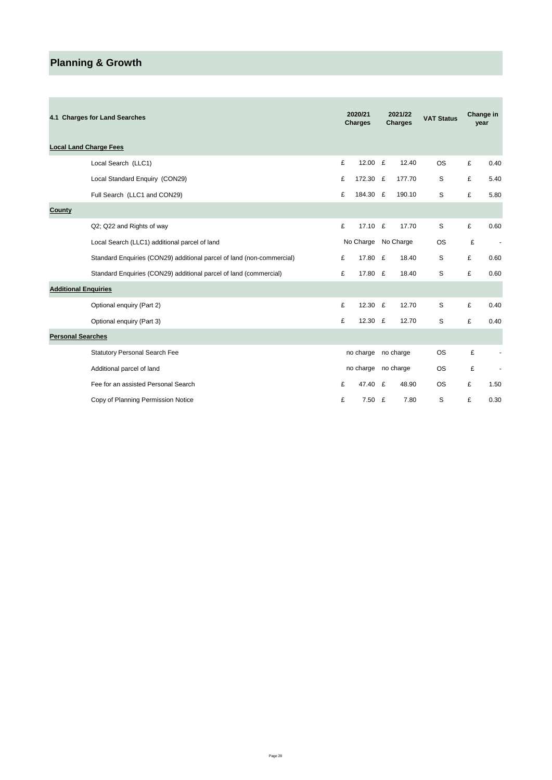# **Planning & Growth**

| 4.1 Charges for Land Searches                                         |   | 2020/21<br><b>Charges</b> |   | 2021/22<br><b>Charges</b> | <b>VAT Status</b> |   | Change in<br>year        |
|-----------------------------------------------------------------------|---|---------------------------|---|---------------------------|-------------------|---|--------------------------|
| <b>Local Land Charge Fees</b>                                         |   |                           |   |                           |                   |   |                          |
| Local Search (LLC1)                                                   | £ | 12.00 £                   |   | 12.40                     | <b>OS</b>         | £ | 0.40                     |
| Local Standard Enquiry (CON29)                                        | £ | 172.30                    | £ | 177.70                    | S                 | £ | 5.40                     |
| Full Search (LLC1 and CON29)                                          | £ | 184.30 £                  |   | 190.10                    | S                 | £ | 5.80                     |
| County                                                                |   |                           |   |                           |                   |   |                          |
| Q2; Q22 and Rights of way                                             | £ | 17.10 £                   |   | 17.70                     | S                 | £ | 0.60                     |
| Local Search (LLC1) additional parcel of land                         |   | No Charge                 |   | No Charge                 | <b>OS</b>         | £ | $\overline{\phantom{a}}$ |
| Standard Enquiries (CON29) additional parcel of land (non-commercial) | £ | 17.80 £                   |   | 18.40                     | S                 | £ | 0.60                     |
| Standard Enquiries (CON29) additional parcel of land (commercial)     | £ | 17.80 £                   |   | 18.40                     | S                 | £ | 0.60                     |
| <b>Additional Enquiries</b>                                           |   |                           |   |                           |                   |   |                          |
| Optional enquiry (Part 2)                                             | £ | 12.30 £                   |   | 12.70                     | S                 | £ | 0.40                     |
| Optional enquiry (Part 3)                                             | £ | 12.30 £                   |   | 12.70                     | S                 | £ | 0.40                     |
| <b>Personal Searches</b>                                              |   |                           |   |                           |                   |   |                          |
| <b>Statutory Personal Search Fee</b>                                  |   | no charge                 |   | no charge                 | <b>OS</b>         | £ |                          |
| Additional parcel of land                                             |   | no charge                 |   | no charge                 | <b>OS</b>         | £ |                          |
| Fee for an assisted Personal Search                                   | £ | 47.40                     | £ | 48.90                     | <b>OS</b>         | £ | 1.50                     |
| Copy of Planning Permission Notice                                    | £ | 7.50 E                    |   | 7.80                      | S                 | £ | 0.30                     |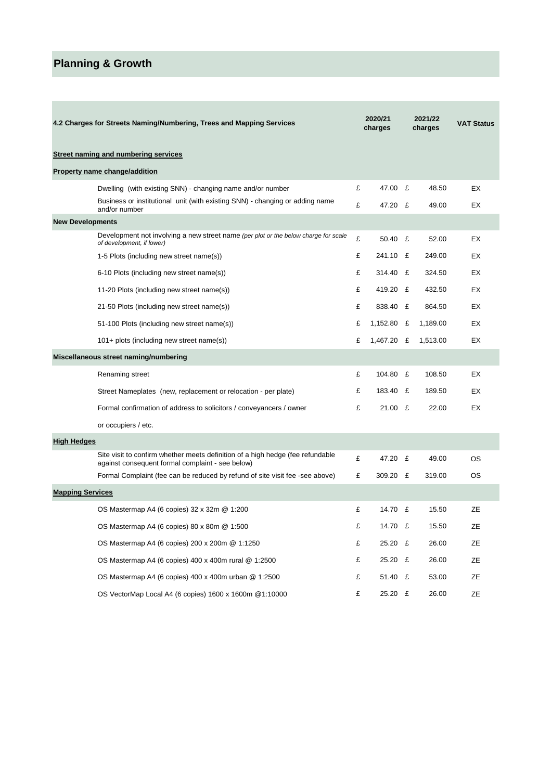# **Planning & Growth**

**Contract** 

|                         | 4.2 Charges for Streets Naming/Numbering, Trees and Mapping Services                                                               |   | 2020/21<br>charges |   | 2021/22<br>charges | <b>VAT Status</b> |
|-------------------------|------------------------------------------------------------------------------------------------------------------------------------|---|--------------------|---|--------------------|-------------------|
|                         | Street naming and numbering services                                                                                               |   |                    |   |                    |                   |
|                         | Property name change/addition                                                                                                      |   |                    |   |                    |                   |
|                         | Dwelling (with existing SNN) - changing name and/or number                                                                         | £ | 47.00 £            |   | 48.50              | EX                |
|                         | Business or institutional unit (with existing SNN) - changing or adding name<br>and/or number                                      | £ | 47.20 £            |   | 49.00              | EX                |
| <b>New Developments</b> |                                                                                                                                    |   |                    |   |                    |                   |
|                         | Development not involving a new street name (per plot or the below charge for scale<br>of development, if lower)                   | £ | 50.40 £            |   | 52.00              | EX                |
|                         | 1-5 Plots (including new street name(s))                                                                                           | £ | 241.10             | £ | 249.00             | EX                |
|                         | 6-10 Plots (including new street name(s))                                                                                          | £ | 314.40             | £ | 324.50             | EX                |
|                         | 11-20 Plots (including new street name(s))                                                                                         | £ | 419.20             | £ | 432.50             | EX                |
|                         | 21-50 Plots (including new street name(s))                                                                                         | £ | 838.40             | £ | 864.50             | EX                |
|                         | 51-100 Plots (including new street name(s))                                                                                        | £ | 1,152.80           | £ | 1,189.00           | EX                |
|                         | 101+ plots (including new street name(s))                                                                                          | £ | 1,467.20           | £ | 1,513.00           | EX                |
|                         | Miscellaneous street naming/numbering                                                                                              |   |                    |   |                    |                   |
|                         | Renaming street                                                                                                                    | £ | 104.80             | £ | 108.50             | EX                |
|                         | Street Nameplates (new, replacement or relocation - per plate)                                                                     | £ | 183.40             | £ | 189.50             | EX                |
|                         | Formal confirmation of address to solicitors / conveyancers / owner                                                                | £ | $21.00$ £          |   | 22.00              | EX                |
|                         | or occupiers / etc.                                                                                                                |   |                    |   |                    |                   |
| <b>High Hedges</b>      |                                                                                                                                    |   |                    |   |                    |                   |
|                         | Site visit to confirm whether meets definition of a high hedge (fee refundable<br>against consequent formal complaint - see below) | £ | 47.20 £            |   | 49.00              | OS                |
|                         | Formal Complaint (fee can be reduced by refund of site visit fee -see above)                                                       | £ | 309.20 £           |   | 319.00             | ОS                |
| <b>Mapping Services</b> |                                                                                                                                    |   |                    |   |                    |                   |
|                         | OS Mastermap A4 (6 copies) 32 x 32m @ 1:200                                                                                        | £ | 14.70 £            |   | 15.50              | ZE                |
|                         | OS Mastermap A4 (6 copies) 80 x 80m @ 1:500                                                                                        | £ | 14.70 £            |   | 15.50              | ΖE                |
|                         | OS Mastermap A4 (6 copies) 200 x 200m @ 1:1250                                                                                     | £ | 25.20 £            |   | 26.00              | ZE                |
|                         | OS Mastermap A4 (6 copies) 400 x 400m rural @ 1:2500                                                                               | £ | 25.20 £            |   | 26.00              | ZE                |
|                         | OS Mastermap A4 (6 copies) 400 x 400m urban @ 1:2500                                                                               | £ | 51.40 £            |   | 53.00              | ZE                |
|                         | OS VectorMap Local A4 (6 copies) 1600 x 1600m @1:10000                                                                             | £ | 25.20 £            |   | 26.00              | ZE                |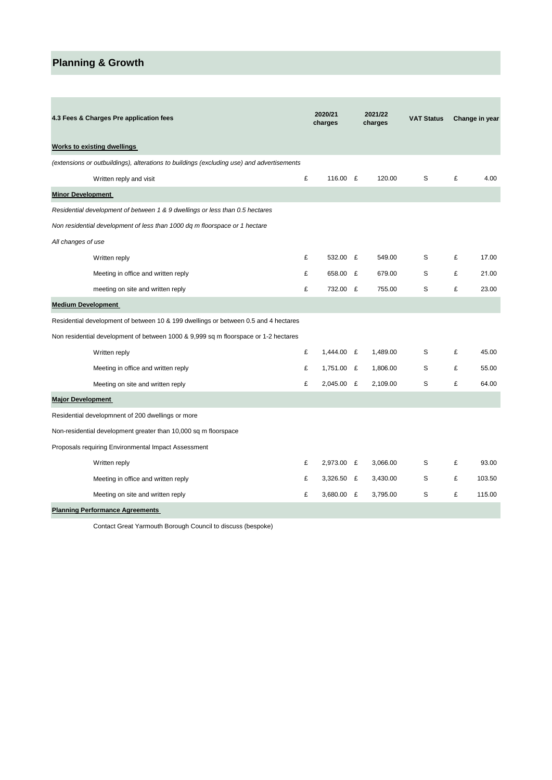# **Planning & Growth**

| 4.3 Fees & Charges Pre application fees                                                   | 2020/21<br>2021/22<br>charges<br>charges |              | <b>VAT Status</b> |   | Change in year |        |
|-------------------------------------------------------------------------------------------|------------------------------------------|--------------|-------------------|---|----------------|--------|
| <b>Works to existing dwellings</b>                                                        |                                          |              |                   |   |                |        |
| (extensions or outbuildings), alterations to buildings (excluding use) and advertisements |                                          |              |                   |   |                |        |
| Written reply and visit                                                                   | £                                        | 116.00 £     | 120.00            | S | £              | 4.00   |
| <b>Minor Development</b>                                                                  |                                          |              |                   |   |                |        |
| Residential development of between 1 & 9 dwellings or less than 0.5 hectares              |                                          |              |                   |   |                |        |
| Non residential development of less than 1000 dq m floorspace or 1 hectare                |                                          |              |                   |   |                |        |
| All changes of use                                                                        |                                          |              |                   |   |                |        |
| Written reply                                                                             | £                                        | 532.00 £     | 549.00            | S | £              | 17.00  |
| Meeting in office and written reply                                                       | £                                        | 658.00 £     | 679.00            | S | £              | 21.00  |
| meeting on site and written reply                                                         | £                                        | 732.00 £     | 755.00            | S | £              | 23.00  |
| <b>Medium Development</b>                                                                 |                                          |              |                   |   |                |        |
| Residential development of between 10 & 199 dwellings or between 0.5 and 4 hectares       |                                          |              |                   |   |                |        |
| Non residential development of between 1000 & 9,999 sq m floorspace or 1-2 hectares       |                                          |              |                   |   |                |        |
| Written reply                                                                             | £                                        | 1,444.00 £   | 1,489.00          | S | £              | 45.00  |
| Meeting in office and written reply                                                       | £                                        | 1,751.00 £   | 1,806.00          | S | £              | 55.00  |
| Meeting on site and written reply                                                         | £                                        | 2,045.00 £   | 2.109.00          | S | £              | 64.00  |
| <b>Major Development</b>                                                                  |                                          |              |                   |   |                |        |
| Residential developmnent of 200 dwellings or more                                         |                                          |              |                   |   |                |        |
| Non-residential development greater than 10,000 sq m floorspace                           |                                          |              |                   |   |                |        |
| Proposals requiring Environmental Impact Assessment                                       |                                          |              |                   |   |                |        |
| Written reply                                                                             | £                                        | 2,973.00 £   | 3,066.00          | S | £              | 93.00  |
| Meeting in office and written reply                                                       | £                                        | $3,326.50$ £ | 3,430.00          | S | £              | 103.50 |
| Meeting on site and written reply                                                         | £                                        | $3,680.00$ £ | 3,795.00          | S | £              | 115.00 |
| <b>Planning Performance Agreements</b>                                                    |                                          |              |                   |   |                |        |

Contact Great Yarmouth Borough Council to discuss (bespoke)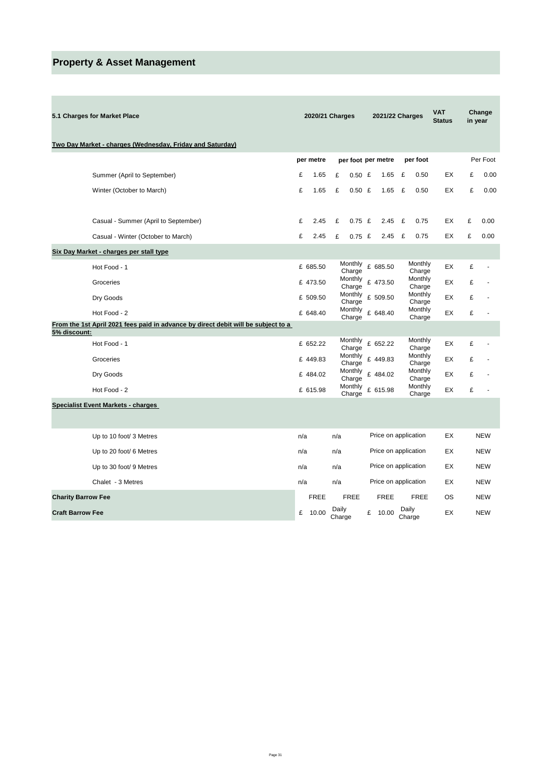# **Property & Asset Management**

| 5.1 Charges for Market Place                                                      |     | 2020/21 Charges |                 |                    |   | 2021/22 Charges      |   |                   | <b>VAT</b><br><b>Status</b> |   | Change<br>in year        |
|-----------------------------------------------------------------------------------|-----|-----------------|-----------------|--------------------|---|----------------------|---|-------------------|-----------------------------|---|--------------------------|
| Two Day Market - charges (Wednesday, Friday and Saturday)                         |     |                 |                 |                    |   |                      |   |                   |                             |   |                          |
|                                                                                   |     | per metre       |                 | per foot per metre |   |                      |   | per foot          |                             |   | Per Foot                 |
| Summer (April to September)                                                       | £   | 1.65            | £               | $0.50$ £           |   | 1.65                 | £ | 0.50              | ЕX                          | £ | 0.00                     |
| Winter (October to March)                                                         | £   | 1.65            | £               | $0.50$ £           |   | 1.65                 | £ | 0.50              | EX                          | £ | 0.00                     |
| Casual - Summer (April to September)                                              | £   | 2.45            | £               | $0.75$ £           |   | 2.45                 | £ | 0.75              | EX                          | £ | 0.00                     |
| Casual - Winter (October to March)                                                | £   | 2.45            | £               | $0.75$ £           |   | 2.45                 | £ | 0.75              | EX                          | £ | 0.00                     |
| Six Day Market - charges per stall type                                           |     |                 |                 |                    |   |                      |   |                   |                             |   |                          |
| Hot Food - 1                                                                      |     | £ 685.50        |                 | Monthly<br>Charge  |   | £ 685.50             |   | Monthly<br>Charge | EX                          | £ |                          |
| Groceries                                                                         |     | £ 473.50        |                 | Monthly<br>Charge  |   | £ 473.50             |   | Monthly<br>Charge | EX                          | £ |                          |
| Dry Goods                                                                         |     | £ 509.50        |                 | Monthly<br>Charge  |   | £ 509.50             |   | Monthly<br>Charge | EX                          | £ |                          |
| Hot Food - 2                                                                      |     | £ 648.40        |                 | Monthly            |   | £ 648.40             |   | Monthly           | EX                          | £ |                          |
| From the 1st April 2021 fees paid in advance by direct debit will be subject to a |     |                 |                 | Charge             |   |                      |   | Charge            |                             |   |                          |
| 5% discount:                                                                      |     |                 |                 | Monthly            |   |                      |   | Monthly           |                             |   |                          |
| Hot Food - 1                                                                      |     | £ 652.22        |                 | Charge             |   | £ 652.22             |   | Charge            | EX                          | £ | ä,                       |
| Groceries                                                                         |     | £ 449.83        |                 | Monthly<br>Charge  |   | £ 449.83             |   | Monthly<br>Charge | EX                          | £ |                          |
| Dry Goods                                                                         |     | £ 484.02        |                 | Monthly<br>Charge  |   | £ 484.02             |   | Monthly<br>Charge | EX                          | £ |                          |
| Hot Food - 2                                                                      |     | £ 615.98        |                 | Monthly<br>Charge  |   | £ 615.98             |   | Monthly<br>Charge | EX                          | £ | $\overline{\phantom{a}}$ |
| <b>Specialist Event Markets - charges</b>                                         |     |                 |                 |                    |   |                      |   |                   |                             |   |                          |
|                                                                                   |     |                 |                 |                    |   |                      |   |                   |                             |   |                          |
| Up to 10 foot/ 3 Metres                                                           | n/a |                 | n/a             |                    |   | Price on application |   |                   | EX                          |   | <b>NEW</b>               |
| Up to 20 foot/ 6 Metres                                                           | n/a |                 | n/a             |                    |   | Price on application |   |                   | EX                          |   | <b>NEW</b>               |
| Up to 30 foot/ 9 Metres                                                           | n/a |                 | n/a             |                    |   | Price on application |   |                   | EX                          |   | <b>NEW</b>               |
| Chalet - 3 Metres                                                                 | n/a |                 | n/a             |                    |   | Price on application |   |                   | EX                          |   | <b>NEW</b>               |
| <b>Charity Barrow Fee</b>                                                         |     | <b>FREE</b>     |                 | <b>FREE</b>        |   | <b>FREE</b>          |   | <b>FREE</b>       | OS                          |   | <b>NEW</b>               |
| <b>Craft Barrow Fee</b>                                                           | £   | 10.00           | Daily<br>Charge |                    | £ | 10.00                |   | Daily<br>Charge   | EX                          |   | <b>NEW</b>               |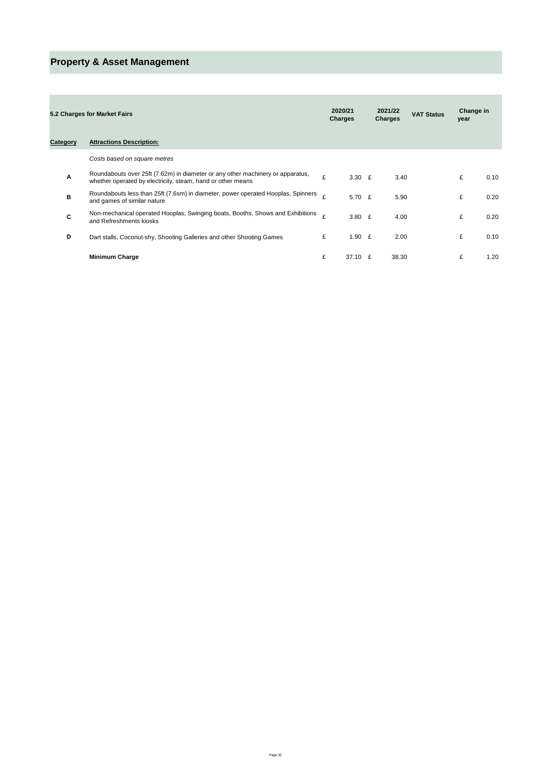# **Property & Asset Management**

|          | 5.2 Charges for Market Fairs                                                                                                                  |   | 2020/21<br>Charges | 2021/22<br><b>Charges</b> |       | <b>VAT Status</b> | Change in<br>year |      |
|----------|-----------------------------------------------------------------------------------------------------------------------------------------------|---|--------------------|---------------------------|-------|-------------------|-------------------|------|
| Category | <b>Attractions Description:</b>                                                                                                               |   |                    |                           |       |                   |                   |      |
|          | Costs based on square metres                                                                                                                  |   |                    |                           |       |                   |                   |      |
| Α        | Roundabouts over 25ft (7.62m) in diameter or any other machinery or apparatus,<br>whether operated by electricity, steam, hand or other means | £ | 3.30 $E$           |                           | 3.40  |                   | £                 | 0.10 |
| в        | Roundabouts less than 25ft (7.6sm) in diameter, power operated Hooplas, Spinners<br>and games of similar nature                               | ¢ | 5.70 $£$           |                           | 5.90  |                   | £                 | 0.20 |
| C        | Non-mechanical operated Hooplas, Swinging boats, Booths, Shows and Exhibitions<br>and Refreshments kiosks                                     | £ | 3.80 $E$           |                           | 4.00  |                   | £                 | 0.20 |
| D        | Dart stalls, Coconut-shy, Shooting Galleries and other Shooting Games                                                                         | £ | 1.90 $E$           |                           | 2.00  |                   | £                 | 0.10 |
|          | <b>Minimum Charge</b>                                                                                                                         | £ | 37.10              | £                         | 38.30 |                   | £                 | 1.20 |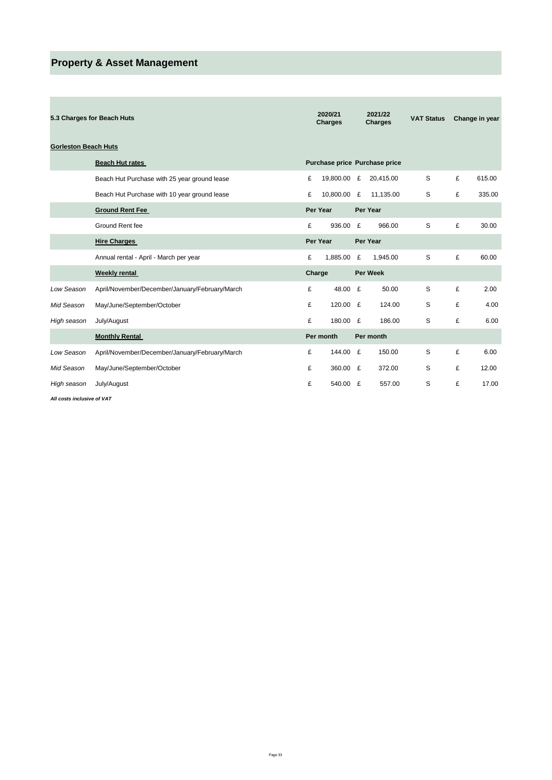# **Property & Asset Management**

÷

|                             | 5.3 Charges for Beach Huts                     |        | 2020/21<br><b>Charges</b> |   | 2021/22<br><b>Charges</b>     | <b>VAT Status</b> |   | Change in year |
|-----------------------------|------------------------------------------------|--------|---------------------------|---|-------------------------------|-------------------|---|----------------|
| <b>Gorleston Beach Huts</b> |                                                |        |                           |   |                               |                   |   |                |
|                             | <b>Beach Hut rates</b>                         |        |                           |   | Purchase price Purchase price |                   |   |                |
|                             | Beach Hut Purchase with 25 year ground lease   | £      | 19,800.00 £               |   | 20,415.00                     | S                 | £ | 615.00         |
|                             | Beach Hut Purchase with 10 year ground lease   | £      | 10,800.00 £               |   | 11,135.00                     | S                 | £ | 335.00         |
|                             | <b>Ground Rent Fee</b>                         |        | Per Year                  |   | Per Year                      |                   |   |                |
|                             | Ground Rent fee                                | £      | 936.00 £                  |   | 966.00                        | S                 | £ | 30.00          |
|                             | <b>Hire Charges</b>                            |        | Per Year                  |   | Per Year                      |                   |   |                |
|                             | Annual rental - April - March per year         | £      | 1,885.00                  | £ | 1,945.00                      | S                 | £ | 60.00          |
|                             | <b>Weekly rental</b>                           | Charge |                           |   | <b>Per Week</b>               |                   |   |                |
| Low Season                  | April/November/December/January/February/March | £      | 48.00 £                   |   | 50.00                         | S                 | £ | 2.00           |
| Mid Season                  | May/June/September/October                     | £      | 120.00 £                  |   | 124.00                        | S                 | £ | 4.00           |
| High season                 | July/August                                    | £      | 180.00 £                  |   | 186.00                        | S                 | £ | 6.00           |
|                             | <b>Monthly Rental</b>                          |        | Per month                 |   | Per month                     |                   |   |                |
| Low Season                  | April/November/December/January/February/March | £      | 144.00 £                  |   | 150.00                        | S                 | £ | 6.00           |
| Mid Season                  | May/June/September/October                     | £      | 360.00 £                  |   | 372.00                        | S                 | £ | 12.00          |
| High season                 | July/August                                    | £      | 540.00 £                  |   | 557.00                        | S                 | £ | 17.00          |

*All costs inclusive of VAT*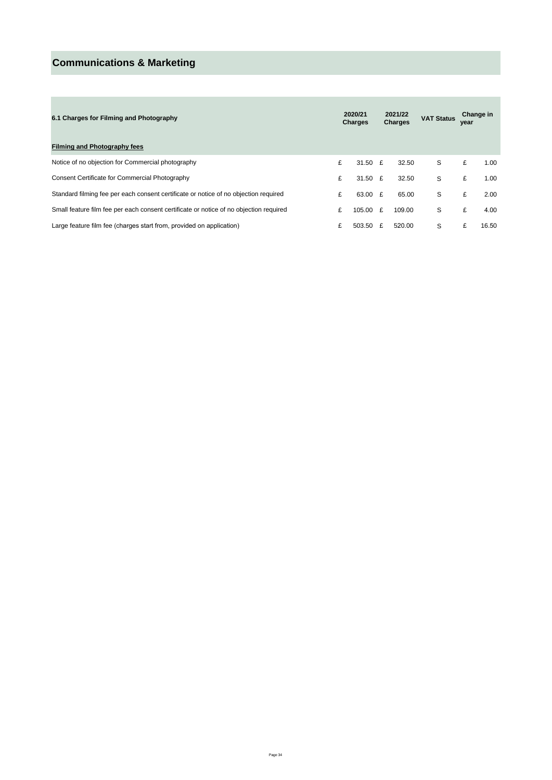# **Communications & Marketing**

a.

| 6.1 Charges for Filming and Photography                                                |   | 2020/21<br><b>Charges</b> | 2021/22<br><b>Charges</b> |        | <b>VAT Status</b> | Change in<br>year |       |
|----------------------------------------------------------------------------------------|---|---------------------------|---------------------------|--------|-------------------|-------------------|-------|
| <b>Filming and Photography fees</b>                                                    |   |                           |                           |        |                   |                   |       |
| Notice of no objection for Commercial photography                                      | £ | 31.50 $E$                 |                           | 32.50  | S                 | £                 | 1.00  |
| Consent Certificate for Commercial Photography                                         | £ | 31.50 $E$                 |                           | 32.50  | S                 | £                 | 1.00  |
| Standard filming fee per each consent certificate or notice of no objection required   | £ | 63.00 £                   |                           | 65.00  | S                 | £                 | 2.00  |
| Small feature film fee per each consent certificate or notice of no objection required | £ | 105.00 £                  |                           | 109.00 | S                 | £                 | 4.00  |
| Large feature film fee (charges start from, provided on application)                   | £ | 503.50                    | £                         | 520.00 | S                 | £                 | 16.50 |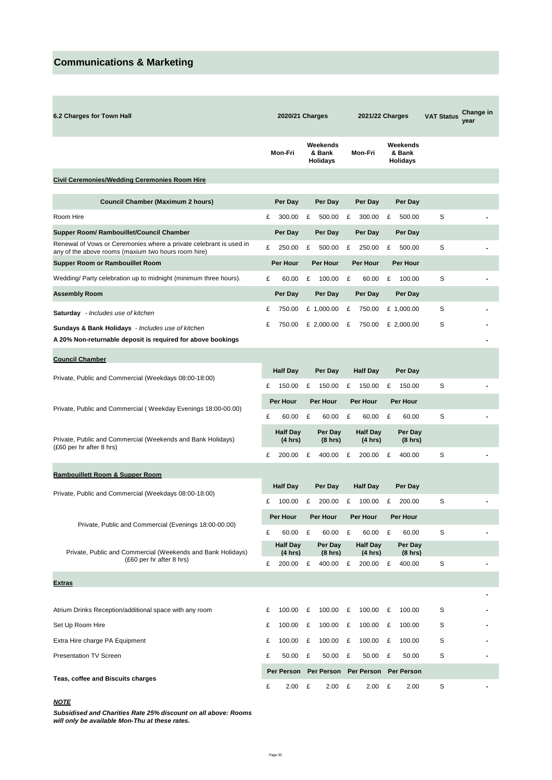# **Communications & Marketing**

×

| 6.2 Charges for Town Hall                                                                                                   | 2020/21 Charges            |                            |                 | 2021/22 Charges                       |          |                            |          | <b>VAT Status</b>                     | Change in<br>year |  |
|-----------------------------------------------------------------------------------------------------------------------------|----------------------------|----------------------------|-----------------|---------------------------------------|----------|----------------------------|----------|---------------------------------------|-------------------|--|
|                                                                                                                             | Mon-Fri                    |                            |                 | Weekends<br>& Bank<br><b>Holidays</b> |          | Mon-Fri                    |          | Weekends<br>& Bank<br><b>Holidays</b> |                   |  |
| <b>Civil Ceremonies/Wedding Ceremonies Room Hire</b>                                                                        |                            |                            |                 |                                       |          |                            |          |                                       |                   |  |
| Council Chamber (Maximum 2 hours)                                                                                           |                            | Per Day                    |                 | Per Day                               |          | Per Day                    |          | Per Day                               |                   |  |
| Room Hire                                                                                                                   | £                          | 300.00                     | £               | 500.00                                | £        | 300.00                     | £        | 500.00                                | S                 |  |
| Supper Room/ Rambouillet/Council Chamber                                                                                    |                            | Per Day                    |                 | Per Day                               |          | Per Day                    |          | Per Day                               |                   |  |
| Renewal of Vows or Ceremonies where a private celebrant is used in<br>any of the above rooms (maxium two hours room hire)   | £                          | 250.00                     | £               | 500.00                                | £        | 250.00                     | £        | 500.00                                | S                 |  |
| Supper Room or Rambouillet Room                                                                                             |                            | Per Hour                   |                 | <b>Per Hour</b>                       |          | Per Hour                   |          | Per Hour                              |                   |  |
| Wedding/ Party celebration up to midnight (minimum three hours).                                                            | £                          | 60.00                      | £               | 100.00                                | £        | 60.00                      | £        | 100.00                                | S                 |  |
| <b>Assembly Room</b>                                                                                                        |                            | Per Day                    |                 | Per Day                               |          | Per Day                    |          | Per Day                               |                   |  |
| <b>Saturday</b> - Includes use of kitchen                                                                                   | £                          | 750.00                     |                 | £ 1,000.00                            | £        | 750.00                     |          | £ 1,000.00                            | S                 |  |
| <b>Sundays &amp; Bank Holidays</b> - Includes use of kitchen<br>A 20% Non-returnable deposit is required for above bookings | £                          | 750.00                     |                 | £ 2,000.00                            | £        | 750.00                     |          | £ 2,000.00                            | S                 |  |
|                                                                                                                             |                            |                            |                 |                                       |          |                            |          |                                       |                   |  |
| <b>Council Chamber</b><br>Private, Public and Commercial (Weekdays 08:00-18:00)                                             |                            | <b>Half Day</b>            |                 | Per Day                               |          | <b>Half Day</b>            |          | Per Day                               |                   |  |
|                                                                                                                             | £                          | 150.00                     | £               | 150.00                                | £        | 150.00                     | £        | 150.00                                | S                 |  |
| Private, Public and Commercial (Weekday Evenings 18:00-00.00)                                                               |                            | Per Hour                   |                 | Per Hour                              | Per Hour |                            | Per Hour |                                       |                   |  |
|                                                                                                                             | £                          | 60.00                      | £               | 60.00                                 | £        | 60.00                      | £        | 60.00                                 | S                 |  |
| Private, Public and Commercial (Weekends and Bank Holidays)                                                                 |                            | <b>Half Day</b><br>(4 hrs) |                 | Per Day<br>$(8 \text{ hrs})$          |          | <b>Half Day</b><br>(4 hrs) |          | Per Day<br>(8 hrs)                    |                   |  |
| (£60 per hr after 8 hrs)                                                                                                    | £                          | 200.00                     | £               | 400.00                                | £        | 200.00                     | £        | 400.00                                | S                 |  |
| <b>Rambouillett Room &amp; Supper Room</b>                                                                                  |                            |                            |                 |                                       |          |                            |          |                                       |                   |  |
|                                                                                                                             | <b>Half Day</b><br>Per Day |                            | <b>Half Day</b> |                                       |          | Per Day                    |          |                                       |                   |  |
| Private, Public and Commercial (Weekdays 08:00-18:00)                                                                       | £                          | 100.00                     | £               | 200.00                                | £        | 100.00                     | £        | 200.00                                | S                 |  |
| Private, Public and Commercial (Evenings 18:00-00.00)                                                                       |                            | Per Hour                   |                 | Per Hour                              |          | Per Hour                   |          | Per Hour                              |                   |  |
|                                                                                                                             | £                          | 60.00                      | £               | 60.00                                 | £        | 60.00                      | £        | 60.00                                 | S                 |  |
| Private, Public and Commercial (Weekends and Bank Holidays)<br>(£60 per hr after 8 hrs)                                     |                            | <b>Half Day</b><br>(4 hrs) |                 | Per Day<br>(8 hrs)                    |          | <b>Half Day</b><br>(4 hrs) |          | Per Day<br>(8 hrs)                    |                   |  |
|                                                                                                                             | £                          | 200.00                     | £               | 400.00                                | £        | 200.00                     | £        | 400.00                                | S                 |  |
| <b>Extras</b>                                                                                                               |                            |                            |                 |                                       |          |                            |          |                                       |                   |  |
|                                                                                                                             |                            |                            |                 |                                       |          |                            |          |                                       |                   |  |
| Atrium Drinks Reception/additional space with any room                                                                      | £                          | 100.00                     | £               | 100.00                                | £        | 100.00                     | £        | 100.00                                | S                 |  |
| Set Up Room Hire                                                                                                            | £                          | 100.00                     | £               | 100.00                                | £        | 100.00                     | £        | 100.00                                | S                 |  |
| Extra Hire charge PA Equipment                                                                                              | £                          | 100.00                     | £               | 100.00                                | £        | 100.00                     | £        | 100.00                                | S                 |  |
| <b>Presentation TV Screen</b>                                                                                               | £                          | 50.00                      | £               | 50.00                                 | £        | 50.00                      | £        | 50.00                                 | S                 |  |
| Teas, coffee and Biscuits charges                                                                                           |                            | Per Person                 |                 | Per Person                            |          | Per Person                 |          | Per Person                            |                   |  |
|                                                                                                                             | £                          | 2.00                       | £               | 2.00                                  | £        | 2.00                       | £        | 2.00                                  | S                 |  |

### *NOTE*

*Subsidised and Charities Rate 25% discount on all above: Rooms will only be available Mon-Thu at these rates.*